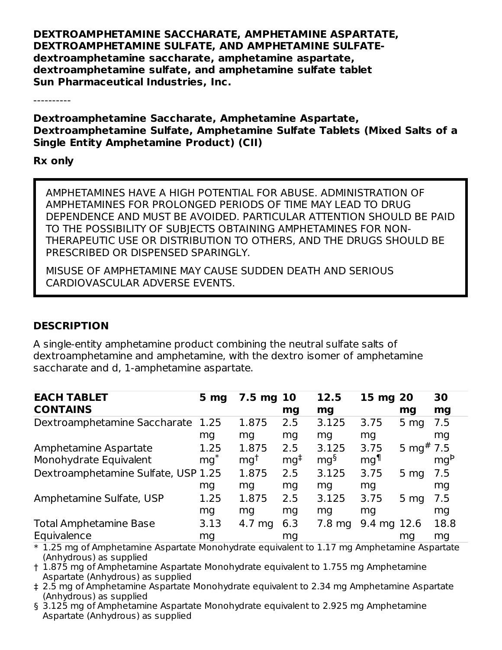**DEXTROAMPHETAMINE SACCHARATE, AMPHETAMINE ASPARTATE, DEXTROAMPHETAMINE SULFATE, AND AMPHETAMINE SULFATEdextroamphetamine saccharate, amphetamine aspartate, dextroamphetamine sulfate, and amphetamine sulfate tablet Sun Pharmaceutical Industries, Inc.**

----------

**Dextroamphetamine Saccharate, Amphetamine Aspartate, Dextroamphetamine Sulfate, Amphetamine Sulfate Tablets (Mixed Salts of a Single Entity Amphetamine Product) (CII)**

#### **Rx only**

AMPHETAMINES HAVE A HIGH POTENTIAL FOR ABUSE. ADMINISTRATION OF AMPHETAMINES FOR PROLONGED PERIODS OF TIME MAY LEAD TO DRUG DEPENDENCE AND MUST BE AVOIDED. PARTICULAR ATTENTION SHOULD BE PAID TO THE POSSIBILITY OF SUBJECTS OBTAINING AMPHETAMINES FOR NON-THERAPEUTIC USE OR DISTRIBUTION TO OTHERS, AND THE DRUGS SHOULD BE PRESCRIBED OR DISPENSED SPARINGLY.

MISUSE OF AMPHETAMINE MAY CAUSE SUDDEN DEATH AND SERIOUS CARDIOVASCULAR ADVERSE EVENTS.

### **DESCRIPTION**

A single-entity amphetamine product combining the neutral sulfate salts of dextroamphetamine and amphetamine, with the dextro isomer of amphetamine saccharate and d, 1-amphetamine aspartate.

| <b>EACH TABLET</b>                  | 5 <sub>mg</sub> | $7.5 \text{ mg}$ | <b>10</b>       | 12.5             | 15 mg 20               |                 | 30   |
|-------------------------------------|-----------------|------------------|-----------------|------------------|------------------------|-----------------|------|
| <b>CONTAINS</b>                     |                 |                  | mg              | mg               |                        | mg              | mg   |
| Dextroamphetamine Saccharate        | 1.25            | 1.875            | 2.5             | 3.125            | 3.75                   | $5 \, mg$       | 7.5  |
|                                     | mg              | mg               | mg              | mg               | mg                     |                 | mg   |
| Amphetamine Aspartate               | 1.25            | 1.875            | 2.5             | 3.125            | 3.75                   | 5 mg# 7.5       |      |
| Monohydrate Equivalent              | $mg^*$          | mg <sup>t</sup>  | $mq^{\ddagger}$ | mg <sup>3</sup>  | mg <sup>¶</sup>        |                 | mgP  |
| Dextroamphetamine Sulfate, USP 1.25 |                 | 1.875            | 2.5             | 3.125            | 3.75                   | 5 <sub>mg</sub> | 7.5  |
|                                     | mg              | mg               | mg              | mg               | mg                     |                 | mg   |
| Amphetamine Sulfate, USP            | 1.25            | 1.875            | 2.5             | 3.125            | 3.75                   | 5 <sub>mg</sub> | 7.5  |
|                                     | mg              | mg               | mg              | mg               | mg                     |                 | mg   |
| <b>Total Amphetamine Base</b>       | 3.13            | 4.7 mg           | 6.3             | $7.8 \text{ mg}$ | $9.4 \text{ mg } 12.6$ |                 | 18.8 |
| Equivalence                         | mg              |                  | mg              |                  |                        | mg              | mg   |

\* 1.25 mg of Amphetamine Aspartate Monohydrate equivalent to 1.17 mg Amphetamine Aspartate (Anhydrous) as supplied

† 1.875 mg of Amphetamine Aspartate Monohydrate equivalent to 1.755 mg Amphetamine Aspartate (Anhydrous) as supplied

‡ 2.5 mg of Amphetamine Aspartate Monohydrate equivalent to 2.34 mg Amphetamine Aspartate (Anhydrous) as supplied

§ 3.125 mg of Amphetamine Aspartate Monohydrate equivalent to 2.925 mg Amphetamine Aspartate (Anhydrous) as supplied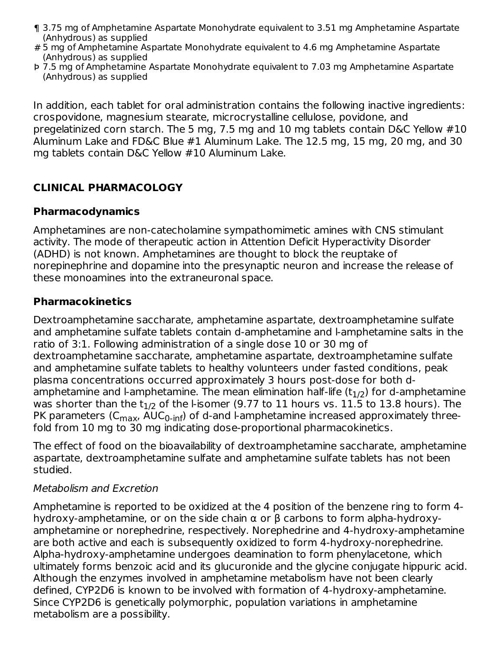- ¶ 3.75 mg of Amphetamine Aspartate Monohydrate equivalent to 3.51 mg Amphetamine Aspartate (Anhydrous) as supplied
- # 5 mg of Amphetamine Aspartate Monohydrate equivalent to 4.6 mg Amphetamine Aspartate (Anhydrous) as supplied
- Þ 7.5 mg of Amphetamine Aspartate Monohydrate equivalent to 7.03 mg Amphetamine Aspartate (Anhydrous) as supplied

In addition, each tablet for oral administration contains the following inactive ingredients: crospovidone, magnesium stearate, microcrystalline cellulose, povidone, and pregelatinized corn starch. The 5 mg, 7.5 mg and 10 mg tablets contain D&C Yellow #10 Aluminum Lake and FD&C Blue #1 Aluminum Lake. The 12.5 mg, 15 mg, 20 mg, and 30 mg tablets contain D&C Yellow #10 Aluminum Lake.

## **CLINICAL PHARMACOLOGY**

## **Pharmacodynamics**

Amphetamines are non-catecholamine sympathomimetic amines with CNS stimulant activity. The mode of therapeutic action in Attention Deficit Hyperactivity Disorder (ADHD) is not known. Amphetamines are thought to block the reuptake of norepinephrine and dopamine into the presynaptic neuron and increase the release of these monoamines into the extraneuronal space.

## **Pharmacokinetics**

Dextroamphetamine saccharate, amphetamine aspartate, dextroamphetamine sulfate and amphetamine sulfate tablets contain d-amphetamine and l-amphetamine salts in the ratio of 3:1. Following administration of a single dose 10 or 30 mg of dextroamphetamine saccharate, amphetamine aspartate, dextroamphetamine sulfate and amphetamine sulfate tablets to healthy volunteers under fasted conditions, peak plasma concentrations occurred approximately 3 hours post-dose for both damphetamine and l-amphetamine. The mean elimination half-life (t $_{\rm 1/2}$ ) for d-amphetamine was shorter than the t $_{1/2}$  of the l-isomer (9.77 to  $11$  hours vs.  $11.5$  to  $13.8$  hours). The PK parameters (C<sub>max</sub>, AUC<sub>0-inf</sub>) of d-and l-amphetamine increased approximately threefold from 10 mg to 30 mg indicating dose-proportional pharmacokinetics.

The effect of food on the bioavailability of dextroamphetamine saccharate, amphetamine aspartate, dextroamphetamine sulfate and amphetamine sulfate tablets has not been studied.

## Metabolism and Excretion

Amphetamine is reported to be oxidized at the 4 position of the benzene ring to form 4 hydroxy-amphetamine, or on the side chain α or β carbons to form alpha-hydroxyamphetamine or norephedrine, respectively. Norephedrine and 4-hydroxy-amphetamine are both active and each is subsequently oxidized to form 4-hydroxy-norephedrine. Alpha-hydroxy-amphetamine undergoes deamination to form phenylacetone, which ultimately forms benzoic acid and its glucuronide and the glycine conjugate hippuric acid. Although the enzymes involved in amphetamine metabolism have not been clearly defined, CYP2D6 is known to be involved with formation of 4-hydroxy-amphetamine. Since CYP2D6 is genetically polymorphic, population variations in amphetamine metabolism are a possibility.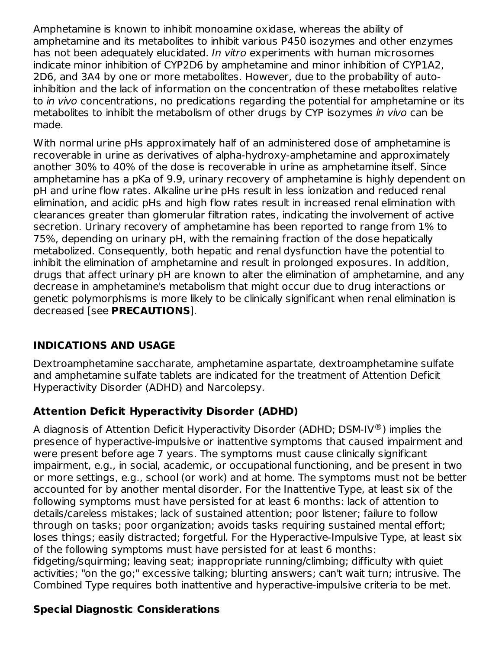Amphetamine is known to inhibit monoamine oxidase, whereas the ability of amphetamine and its metabolites to inhibit various P450 isozymes and other enzymes has not been adequately elucidated. In vitro experiments with human microsomes indicate minor inhibition of CYP2D6 by amphetamine and minor inhibition of CYP1A2, 2D6, and 3A4 by one or more metabolites. However, due to the probability of autoinhibition and the lack of information on the concentration of these metabolites relative to *in vivo* concentrations, no predications regarding the potential for amphetamine or its metabolites to inhibit the metabolism of other drugs by CYP isozymes in vivo can be made.

With normal urine pHs approximately half of an administered dose of amphetamine is recoverable in urine as derivatives of alpha-hydroxy-amphetamine and approximately another 30% to 40% of the dose is recoverable in urine as amphetamine itself. Since amphetamine has a pKa of 9.9, urinary recovery of amphetamine is highly dependent on pH and urine flow rates. Alkaline urine pHs result in less ionization and reduced renal elimination, and acidic pHs and high flow rates result in increased renal elimination with clearances greater than glomerular filtration rates, indicating the involvement of active secretion. Urinary recovery of amphetamine has been reported to range from 1% to 75%, depending on urinary pH, with the remaining fraction of the dose hepatically metabolized. Consequently, both hepatic and renal dysfunction have the potential to inhibit the elimination of amphetamine and result in prolonged exposures. In addition, drugs that affect urinary pH are known to alter the elimination of amphetamine, and any decrease in amphetamine's metabolism that might occur due to drug interactions or genetic polymorphisms is more likely to be clinically significant when renal elimination is decreased [see **PRECAUTIONS**].

# **INDICATIONS AND USAGE**

Dextroamphetamine saccharate, amphetamine aspartate, dextroamphetamine sulfate and amphetamine sulfate tablets are indicated for the treatment of Attention Deficit Hyperactivity Disorder (ADHD) and Narcolepsy.

# **Attention Deficit Hyperactivity Disorder (ADHD)**

A diagnosis of Attention Deficit Hyperactivity Disorder (ADHD; DSM-IV $^{\circledR}$ ) implies the presence of hyperactive-impulsive or inattentive symptoms that caused impairment and were present before age 7 years. The symptoms must cause clinically significant impairment, e.g., in social, academic, or occupational functioning, and be present in two or more settings, e.g., school (or work) and at home. The symptoms must not be better accounted for by another mental disorder. For the Inattentive Type, at least six of the following symptoms must have persisted for at least 6 months: lack of attention to details/careless mistakes; lack of sustained attention; poor listener; failure to follow through on tasks; poor organization; avoids tasks requiring sustained mental effort; loses things; easily distracted; forgetful. For the Hyperactive-Impulsive Type, at least six of the following symptoms must have persisted for at least 6 months: fidgeting/squirming; leaving seat; inappropriate running/climbing; difficulty with quiet activities; "on the go;" excessive talking; blurting answers; can't wait turn; intrusive. The Combined Type requires both inattentive and hyperactive-impulsive criteria to be met.

# **Special Diagnostic Considerations**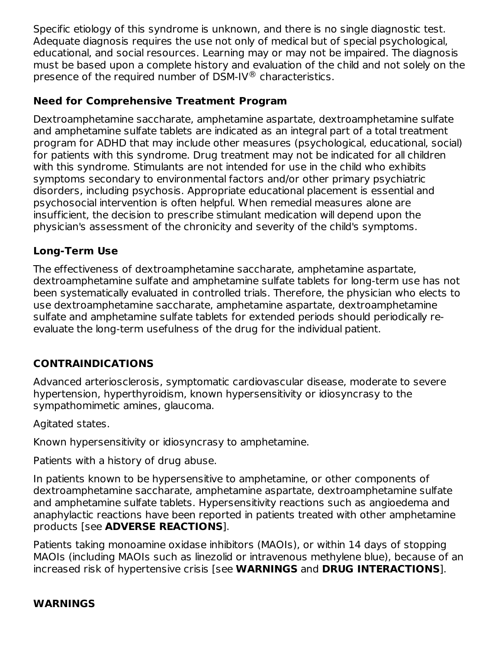Specific etiology of this syndrome is unknown, and there is no single diagnostic test. Adequate diagnosis requires the use not only of medical but of special psychological, educational, and social resources. Learning may or may not be impaired. The diagnosis must be based upon a complete history and evaluation of the child and not solely on the presence of the required number of DSM-IV $^{\circledR}$  characteristics.

## **Need for Comprehensive Treatment Program**

Dextroamphetamine saccharate, amphetamine aspartate, dextroamphetamine sulfate and amphetamine sulfate tablets are indicated as an integral part of a total treatment program for ADHD that may include other measures (psychological, educational, social) for patients with this syndrome. Drug treatment may not be indicated for all children with this syndrome. Stimulants are not intended for use in the child who exhibits symptoms secondary to environmental factors and/or other primary psychiatric disorders, including psychosis. Appropriate educational placement is essential and psychosocial intervention is often helpful. When remedial measures alone are insufficient, the decision to prescribe stimulant medication will depend upon the physician's assessment of the chronicity and severity of the child's symptoms.

## **Long-Term Use**

The effectiveness of dextroamphetamine saccharate, amphetamine aspartate, dextroamphetamine sulfate and amphetamine sulfate tablets for long-term use has not been systematically evaluated in controlled trials. Therefore, the physician who elects to use dextroamphetamine saccharate, amphetamine aspartate, dextroamphetamine sulfate and amphetamine sulfate tablets for extended periods should periodically reevaluate the long-term usefulness of the drug for the individual patient.

# **CONTRAINDICATIONS**

Advanced arteriosclerosis, symptomatic cardiovascular disease, moderate to severe hypertension, hyperthyroidism, known hypersensitivity or idiosyncrasy to the sympathomimetic amines, glaucoma.

Agitated states.

Known hypersensitivity or idiosyncrasy to amphetamine.

Patients with a history of drug abuse.

In patients known to be hypersensitive to amphetamine, or other components of dextroamphetamine saccharate, amphetamine aspartate, dextroamphetamine sulfate and amphetamine sulfate tablets. Hypersensitivity reactions such as angioedema and anaphylactic reactions have been reported in patients treated with other amphetamine products [see **ADVERSE REACTIONS**].

Patients taking monoamine oxidase inhibitors (MAOIs), or within 14 days of stopping MAOIs (including MAOIs such as linezolid or intravenous methylene blue), because of an increased risk of hypertensive crisis [see **WARNINGS** and **DRUG INTERACTIONS**].

## **WARNINGS**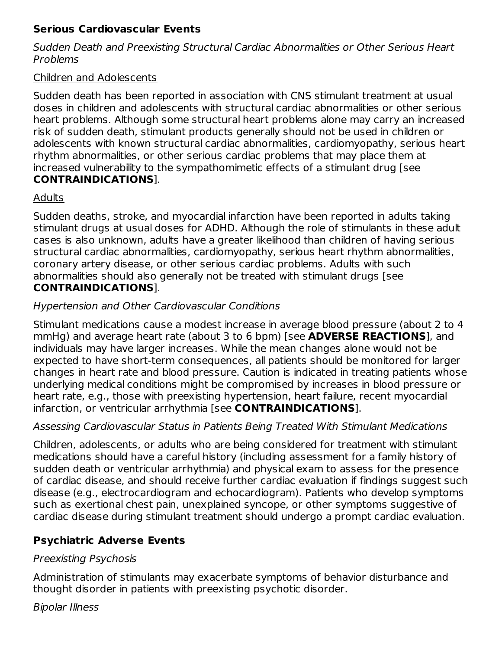## **Serious Cardiovascular Events**

Sudden Death and Preexisting Structural Cardiac Abnormalities or Other Serious Heart Problems

### Children and Adolescents

Sudden death has been reported in association with CNS stimulant treatment at usual doses in children and adolescents with structural cardiac abnormalities or other serious heart problems. Although some structural heart problems alone may carry an increased risk of sudden death, stimulant products generally should not be used in children or adolescents with known structural cardiac abnormalities, cardiomyopathy, serious heart rhythm abnormalities, or other serious cardiac problems that may place them at increased vulnerability to the sympathomimetic effects of a stimulant drug [see **CONTRAINDICATIONS**].

## **Adults**

Sudden deaths, stroke, and myocardial infarction have been reported in adults taking stimulant drugs at usual doses for ADHD. Although the role of stimulants in these adult cases is also unknown, adults have a greater likelihood than children of having serious structural cardiac abnormalities, cardiomyopathy, serious heart rhythm abnormalities, coronary artery disease, or other serious cardiac problems. Adults with such abnormalities should also generally not be treated with stimulant drugs [see **CONTRAINDICATIONS**].

## Hypertension and Other Cardiovascular Conditions

Stimulant medications cause a modest increase in average blood pressure (about 2 to 4 mmHg) and average heart rate (about 3 to 6 bpm) [see **ADVERSE REACTIONS**], and individuals may have larger increases. While the mean changes alone would not be expected to have short-term consequences, all patients should be monitored for larger changes in heart rate and blood pressure. Caution is indicated in treating patients whose underlying medical conditions might be compromised by increases in blood pressure or heart rate, e.g., those with preexisting hypertension, heart failure, recent myocardial infarction, or ventricular arrhythmia [see **CONTRAINDICATIONS**].

## Assessing Cardiovascular Status in Patients Being Treated With Stimulant Medications

Children, adolescents, or adults who are being considered for treatment with stimulant medications should have a careful history (including assessment for a family history of sudden death or ventricular arrhythmia) and physical exam to assess for the presence of cardiac disease, and should receive further cardiac evaluation if findings suggest such disease (e.g., electrocardiogram and echocardiogram). Patients who develop symptoms such as exertional chest pain, unexplained syncope, or other symptoms suggestive of cardiac disease during stimulant treatment should undergo a prompt cardiac evaluation.

# **Psychiatric Adverse Events**

## Preexisting Psychosis

Administration of stimulants may exacerbate symptoms of behavior disturbance and thought disorder in patients with preexisting psychotic disorder.

Bipolar Illness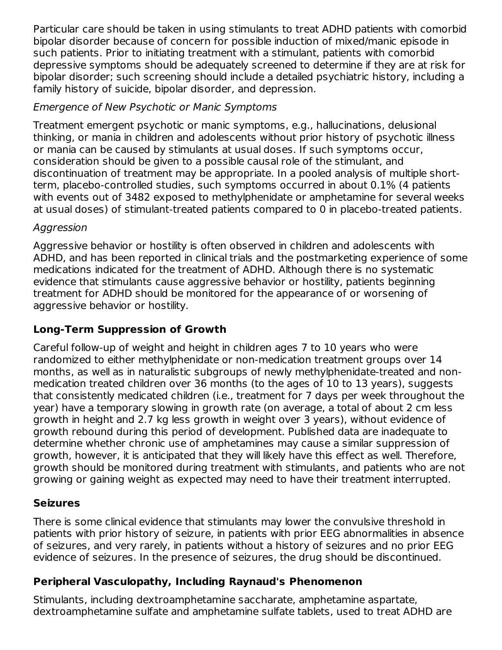Particular care should be taken in using stimulants to treat ADHD patients with comorbid bipolar disorder because of concern for possible induction of mixed/manic episode in such patients. Prior to initiating treatment with a stimulant, patients with comorbid depressive symptoms should be adequately screened to determine if they are at risk for bipolar disorder; such screening should include a detailed psychiatric history, including a family history of suicide, bipolar disorder, and depression.

## Emergence of New Psychotic or Manic Symptoms

Treatment emergent psychotic or manic symptoms, e.g., hallucinations, delusional thinking, or mania in children and adolescents without prior history of psychotic illness or mania can be caused by stimulants at usual doses. If such symptoms occur, consideration should be given to a possible causal role of the stimulant, and discontinuation of treatment may be appropriate. In a pooled analysis of multiple shortterm, placebo-controlled studies, such symptoms occurred in about 0.1% (4 patients with events out of 3482 exposed to methylphenidate or amphetamine for several weeks at usual doses) of stimulant-treated patients compared to 0 in placebo-treated patients.

## Aggression

Aggressive behavior or hostility is often observed in children and adolescents with ADHD, and has been reported in clinical trials and the postmarketing experience of some medications indicated for the treatment of ADHD. Although there is no systematic evidence that stimulants cause aggressive behavior or hostility, patients beginning treatment for ADHD should be monitored for the appearance of or worsening of aggressive behavior or hostility.

## **Long-Term Suppression of Growth**

Careful follow-up of weight and height in children ages 7 to 10 years who were randomized to either methylphenidate or non-medication treatment groups over 14 months, as well as in naturalistic subgroups of newly methylphenidate-treated and nonmedication treated children over 36 months (to the ages of 10 to 13 years), suggests that consistently medicated children (i.e., treatment for 7 days per week throughout the year) have a temporary slowing in growth rate (on average, a total of about 2 cm less growth in height and 2.7 kg less growth in weight over 3 years), without evidence of growth rebound during this period of development. Published data are inadequate to determine whether chronic use of amphetamines may cause a similar suppression of growth, however, it is anticipated that they will likely have this effect as well. Therefore, growth should be monitored during treatment with stimulants, and patients who are not growing or gaining weight as expected may need to have their treatment interrupted.

## **Seizures**

There is some clinical evidence that stimulants may lower the convulsive threshold in patients with prior history of seizure, in patients with prior EEG abnormalities in absence of seizures, and very rarely, in patients without a history of seizures and no prior EEG evidence of seizures. In the presence of seizures, the drug should be discontinued.

## **Peripheral Vasculopathy, Including Raynaud's Phenomenon**

Stimulants, including dextroamphetamine saccharate, amphetamine aspartate, dextroamphetamine sulfate and amphetamine sulfate tablets, used to treat ADHD are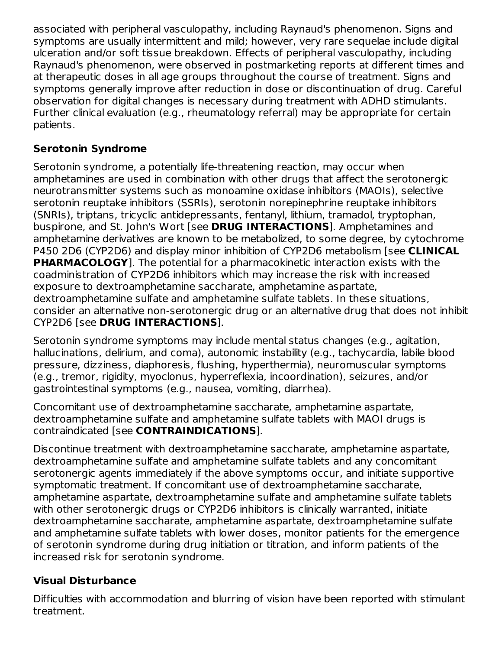associated with peripheral vasculopathy, including Raynaud's phenomenon. Signs and symptoms are usually intermittent and mild; however, very rare sequelae include digital ulceration and/or soft tissue breakdown. Effects of peripheral vasculopathy, including Raynaud's phenomenon, were observed in postmarketing reports at different times and at therapeutic doses in all age groups throughout the course of treatment. Signs and symptoms generally improve after reduction in dose or discontinuation of drug. Careful observation for digital changes is necessary during treatment with ADHD stimulants. Further clinical evaluation (e.g., rheumatology referral) may be appropriate for certain patients.

# **Serotonin Syndrome**

Serotonin syndrome, a potentially life-threatening reaction, may occur when amphetamines are used in combination with other drugs that affect the serotonergic neurotransmitter systems such as monoamine oxidase inhibitors (MAOIs), selective serotonin reuptake inhibitors (SSRIs), serotonin norepinephrine reuptake inhibitors (SNRIs), triptans, tricyclic antidepressants, fentanyl, lithium, tramadol, tryptophan, buspirone, and St. John's Wort [see **DRUG INTERACTIONS**]. Amphetamines and amphetamine derivatives are known to be metabolized, to some degree, by cytochrome P450 2D6 (CYP2D6) and display minor inhibition of CYP2D6 metabolism [see **CLINICAL PHARMACOLOGY**]. The potential for a pharmacokinetic interaction exists with the coadministration of CYP2D6 inhibitors which may increase the risk with increased exposure to dextroamphetamine saccharate, amphetamine aspartate, dextroamphetamine sulfate and amphetamine sulfate tablets. In these situations, consider an alternative non-serotonergic drug or an alternative drug that does not inhibit CYP2D6 [see **DRUG INTERACTIONS**].

Serotonin syndrome symptoms may include mental status changes (e.g., agitation, hallucinations, delirium, and coma), autonomic instability (e.g., tachycardia, labile blood pressure, dizziness, diaphoresis, flushing, hyperthermia), neuromuscular symptoms (e.g., tremor, rigidity, myoclonus, hyperreflexia, incoordination), seizures, and/or gastrointestinal symptoms (e.g., nausea, vomiting, diarrhea).

Concomitant use of dextroamphetamine saccharate, amphetamine aspartate, dextroamphetamine sulfate and amphetamine sulfate tablets with MAOI drugs is contraindicated [see **CONTRAINDICATIONS**].

Discontinue treatment with dextroamphetamine saccharate, amphetamine aspartate, dextroamphetamine sulfate and amphetamine sulfate tablets and any concomitant serotonergic agents immediately if the above symptoms occur, and initiate supportive symptomatic treatment. If concomitant use of dextroamphetamine saccharate, amphetamine aspartate, dextroamphetamine sulfate and amphetamine sulfate tablets with other serotonergic drugs or CYP2D6 inhibitors is clinically warranted, initiate dextroamphetamine saccharate, amphetamine aspartate, dextroamphetamine sulfate and amphetamine sulfate tablets with lower doses, monitor patients for the emergence of serotonin syndrome during drug initiation or titration, and inform patients of the increased risk for serotonin syndrome.

# **Visual Disturbance**

Difficulties with accommodation and blurring of vision have been reported with stimulant treatment.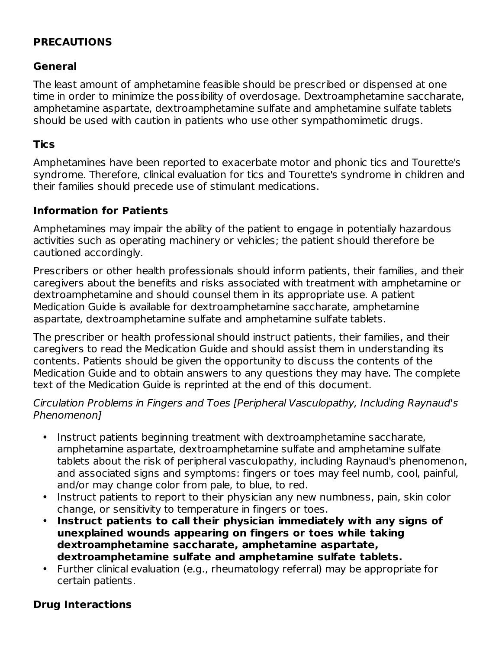### **PRECAUTIONS**

## **General**

The least amount of amphetamine feasible should be prescribed or dispensed at one time in order to minimize the possibility of overdosage. Dextroamphetamine saccharate, amphetamine aspartate, dextroamphetamine sulfate and amphetamine sulfate tablets should be used with caution in patients who use other sympathomimetic drugs.

## **Tics**

Amphetamines have been reported to exacerbate motor and phonic tics and Tourette's syndrome. Therefore, clinical evaluation for tics and Tourette's syndrome in children and their families should precede use of stimulant medications.

## **Information for Patients**

Amphetamines may impair the ability of the patient to engage in potentially hazardous activities such as operating machinery or vehicles; the patient should therefore be cautioned accordingly.

Prescribers or other health professionals should inform patients, their families, and their caregivers about the benefits and risks associated with treatment with amphetamine or dextroamphetamine and should counsel them in its appropriate use. A patient Medication Guide is available for dextroamphetamine saccharate, amphetamine aspartate, dextroamphetamine sulfate and amphetamine sulfate tablets.

The prescriber or health professional should instruct patients, their families, and their caregivers to read the Medication Guide and should assist them in understanding its contents. Patients should be given the opportunity to discuss the contents of the Medication Guide and to obtain answers to any questions they may have. The complete text of the Medication Guide is reprinted at the end of this document.

Circulation Problems in Fingers and Toes [Peripheral Vasculopathy, Including Raynaud's Phenomenon]

- Instruct patients beginning treatment with dextroamphetamine saccharate, amphetamine aspartate, dextroamphetamine sulfate and amphetamine sulfate tablets about the risk of peripheral vasculopathy, including Raynaud's phenomenon, and associated signs and symptoms: fingers or toes may feel numb, cool, painful, and/or may change color from pale, to blue, to red.
- Instruct patients to report to their physician any new numbness, pain, skin color change, or sensitivity to temperature in fingers or toes.
- **Instruct patients to call their physician immediately with any signs of unexplained wounds appearing on fingers or toes while taking dextroamphetamine saccharate, amphetamine aspartate, dextroamphetamine sulfate and amphetamine sulfate tablets.**
- Further clinical evaluation (e.g., rheumatology referral) may be appropriate for certain patients.

# **Drug Interactions**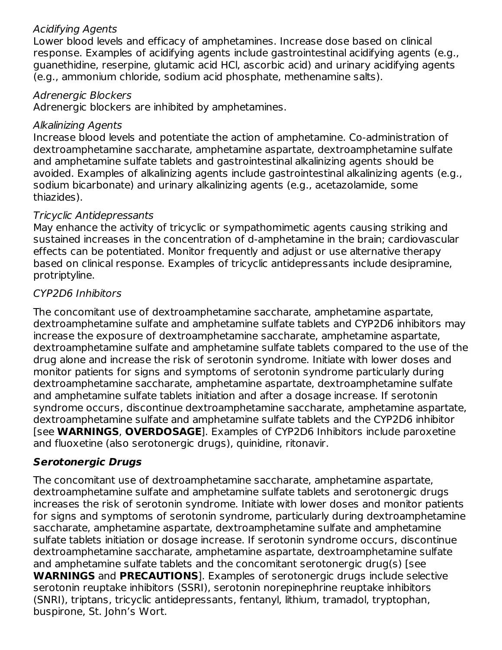## Acidifying Agents

Lower blood levels and efficacy of amphetamines. Increase dose based on clinical response. Examples of acidifying agents include gastrointestinal acidifying agents (e.g., guanethidine, reserpine, glutamic acid HCl, ascorbic acid) and urinary acidifying agents (e.g., ammonium chloride, sodium acid phosphate, methenamine salts).

### Adrenergic Blockers

Adrenergic blockers are inhibited by amphetamines.

### Alkalinizing Agents

Increase blood levels and potentiate the action of amphetamine. Co-administration of dextroamphetamine saccharate, amphetamine aspartate, dextroamphetamine sulfate and amphetamine sulfate tablets and gastrointestinal alkalinizing agents should be avoided. Examples of alkalinizing agents include gastrointestinal alkalinizing agents (e.g., sodium bicarbonate) and urinary alkalinizing agents (e.g., acetazolamide, some thiazides).

## Tricyclic Antidepressants

May enhance the activity of tricyclic or sympathomimetic agents causing striking and sustained increases in the concentration of d-amphetamine in the brain; cardiovascular effects can be potentiated. Monitor frequently and adjust or use alternative therapy based on clinical response. Examples of tricyclic antidepressants include desipramine, protriptyline.

## CYP2D6 Inhibitors

The concomitant use of dextroamphetamine saccharate, amphetamine aspartate, dextroamphetamine sulfate and amphetamine sulfate tablets and CYP2D6 inhibitors may increase the exposure of dextroamphetamine saccharate, amphetamine aspartate, dextroamphetamine sulfate and amphetamine sulfate tablets compared to the use of the drug alone and increase the risk of serotonin syndrome. Initiate with lower doses and monitor patients for signs and symptoms of serotonin syndrome particularly during dextroamphetamine saccharate, amphetamine aspartate, dextroamphetamine sulfate and amphetamine sulfate tablets initiation and after a dosage increase. If serotonin syndrome occurs, discontinue dextroamphetamine saccharate, amphetamine aspartate, dextroamphetamine sulfate and amphetamine sulfate tablets and the CYP2D6 inhibitor [see **WARNINGS**, **OVERDOSAGE**]. Examples of CYP2D6 Inhibitors include paroxetine and fluoxetine (also serotonergic drugs), quinidine, ritonavir.

## **Serotonergic Drugs**

The concomitant use of dextroamphetamine saccharate, amphetamine aspartate, dextroamphetamine sulfate and amphetamine sulfate tablets and serotonergic drugs increases the risk of serotonin syndrome. Initiate with lower doses and monitor patients for signs and symptoms of serotonin syndrome, particularly during dextroamphetamine saccharate, amphetamine aspartate, dextroamphetamine sulfate and amphetamine sulfate tablets initiation or dosage increase. If serotonin syndrome occurs, discontinue dextroamphetamine saccharate, amphetamine aspartate, dextroamphetamine sulfate and amphetamine sulfate tablets and the concomitant serotonergic drug(s) [see **WARNINGS** and **PRECAUTIONS**]. Examples of serotonergic drugs include selective serotonin reuptake inhibitors (SSRI), serotonin norepinephrine reuptake inhibitors (SNRI), triptans, tricyclic antidepressants, fentanyl, lithium, tramadol, tryptophan, buspirone, St. John's Wort.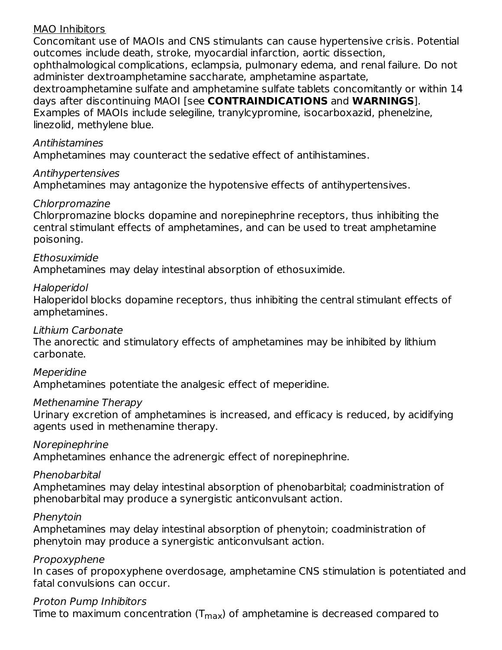### MAO Inhibitors

Concomitant use of MAOIs and CNS stimulants can cause hypertensive crisis. Potential outcomes include death, stroke, myocardial infarction, aortic dissection,

ophthalmological complications, eclampsia, pulmonary edema, and renal failure. Do not administer dextroamphetamine saccharate, amphetamine aspartate,

dextroamphetamine sulfate and amphetamine sulfate tablets concomitantly or within 14 days after discontinuing MAOI [see **CONTRAINDICATIONS** and **WARNINGS**].

Examples of MAOIs include selegiline, tranylcypromine, isocarboxazid, phenelzine, linezolid, methylene blue.

### Antihistamines

Amphetamines may counteract the sedative effect of antihistamines.

## Antihypertensives

Amphetamines may antagonize the hypotensive effects of antihypertensives.

## Chlorpromazine

Chlorpromazine blocks dopamine and norepinephrine receptors, thus inhibiting the central stimulant effects of amphetamines, and can be used to treat amphetamine poisoning.

## Ethosuximide

Amphetamines may delay intestinal absorption of ethosuximide.

## Haloperidol

Haloperidol blocks dopamine receptors, thus inhibiting the central stimulant effects of amphetamines.

## Lithium Carbonate

The anorectic and stimulatory effects of amphetamines may be inhibited by lithium carbonate.

### Meperidine

Amphetamines potentiate the analgesic effect of meperidine.

### Methenamine Therapy

Urinary excretion of amphetamines is increased, and efficacy is reduced, by acidifying agents used in methenamine therapy.

### Norepinephrine

Amphetamines enhance the adrenergic effect of norepinephrine.

### Phenobarbital

Amphetamines may delay intestinal absorption of phenobarbital; coadministration of phenobarbital may produce a synergistic anticonvulsant action.

### Phenytoin

Amphetamines may delay intestinal absorption of phenytoin; coadministration of phenytoin may produce a synergistic anticonvulsant action.

### Propoxyphene

In cases of propoxyphene overdosage, amphetamine CNS stimulation is potentiated and fatal convulsions can occur.

## Proton Pump Inhibitors

Time to maximum concentration  $(T_{max})$  of amphetamine is decreased compared to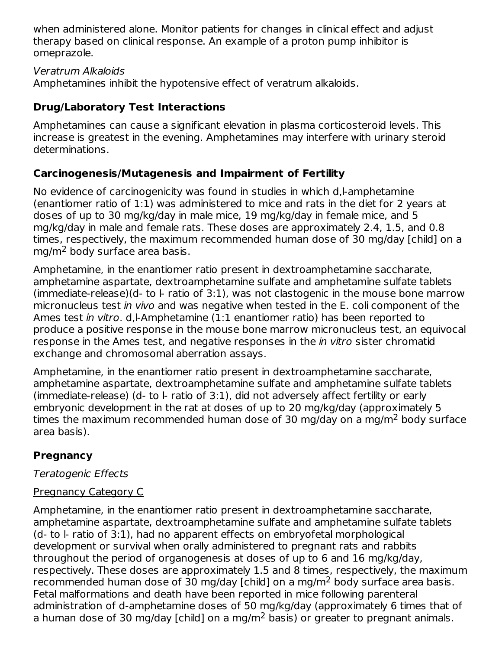when administered alone. Monitor patients for changes in clinical effect and adjust therapy based on clinical response. An example of a proton pump inhibitor is omeprazole.

### Veratrum Alkaloids

Amphetamines inhibit the hypotensive effect of veratrum alkaloids.

## **Drug/Laboratory Test Interactions**

Amphetamines can cause a significant elevation in plasma corticosteroid levels. This increase is greatest in the evening. Amphetamines may interfere with urinary steroid determinations.

## **Carcinogenesis/Mutagenesis and Impairment of Fertility**

No evidence of carcinogenicity was found in studies in which d,l-amphetamine (enantiomer ratio of 1:1) was administered to mice and rats in the diet for 2 years at doses of up to 30 mg/kg/day in male mice, 19 mg/kg/day in female mice, and 5 mg/kg/day in male and female rats. These doses are approximately 2.4, 1.5, and 0.8 times, respectively, the maximum recommended human dose of 30 mg/day [child] on a mg/m<sup>2</sup> body surface area basis.

Amphetamine, in the enantiomer ratio present in dextroamphetamine saccharate, amphetamine aspartate, dextroamphetamine sulfate and amphetamine sulfate tablets (immediate-release)(d- to l- ratio of 3:1), was not clastogenic in the mouse bone marrow micronucleus test in vivo and was negative when tested in the E. coli component of the Ames test in vitro. d,l-Amphetamine (1:1 enantiomer ratio) has been reported to produce a positive response in the mouse bone marrow micronucleus test, an equivocal response in the Ames test, and negative responses in the *in vitro* sister chromatid exchange and chromosomal aberration assays.

Amphetamine, in the enantiomer ratio present in dextroamphetamine saccharate, amphetamine aspartate, dextroamphetamine sulfate and amphetamine sulfate tablets (immediate-release) (d- to l- ratio of 3:1), did not adversely affect fertility or early embryonic development in the rat at doses of up to 20 mg/kg/day (approximately 5 times the maximum recommended human dose of 30 mg/day on a mg/m<sup>2</sup> body surface area basis).

# **Pregnancy**

## Teratogenic Effects

# Pregnancy Category C

Amphetamine, in the enantiomer ratio present in dextroamphetamine saccharate, amphetamine aspartate, dextroamphetamine sulfate and amphetamine sulfate tablets (d- to l- ratio of 3:1), had no apparent effects on embryofetal morphological development or survival when orally administered to pregnant rats and rabbits throughout the period of organogenesis at doses of up to 6 and 16 mg/kg/day, respectively. These doses are approximately 1.5 and 8 times, respectively, the maximum recommended human dose of 30 mg/day [child] on a mg/m $^2$  body surface area basis. Fetal malformations and death have been reported in mice following parenteral administration of d-amphetamine doses of 50 mg/kg/day (approximately 6 times that of a human dose of 30 mg/day [child] on a mg/m $^2$  basis) or greater to pregnant animals.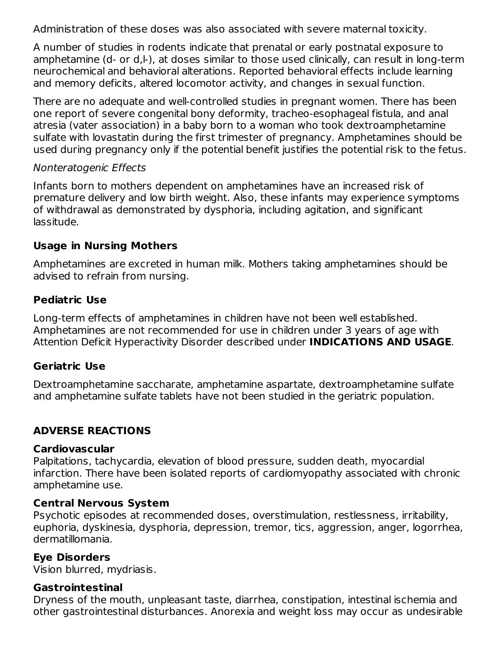Administration of these doses was also associated with severe maternal toxicity.

A number of studies in rodents indicate that prenatal or early postnatal exposure to amphetamine (d- or d, I-), at doses similar to those used clinically, can result in long-term neurochemical and behavioral alterations. Reported behavioral effects include learning and memory deficits, altered locomotor activity, and changes in sexual function.

There are no adequate and well-controlled studies in pregnant women. There has been one report of severe congenital bony deformity, tracheo-esophageal fistula, and anal atresia (vater association) in a baby born to a woman who took dextroamphetamine sulfate with lovastatin during the first trimester of pregnancy. Amphetamines should be used during pregnancy only if the potential benefit justifies the potential risk to the fetus.

### Nonteratogenic Effects

Infants born to mothers dependent on amphetamines have an increased risk of premature delivery and low birth weight. Also, these infants may experience symptoms of withdrawal as demonstrated by dysphoria, including agitation, and significant lassitude.

## **Usage in Nursing Mothers**

Amphetamines are excreted in human milk. Mothers taking amphetamines should be advised to refrain from nursing.

## **Pediatric Use**

Long-term effects of amphetamines in children have not been well established. Amphetamines are not recommended for use in children under 3 years of age with Attention Deficit Hyperactivity Disorder described under **INDICATIONS AND USAGE**.

### **Geriatric Use**

Dextroamphetamine saccharate, amphetamine aspartate, dextroamphetamine sulfate and amphetamine sulfate tablets have not been studied in the geriatric population.

### **ADVERSE REACTIONS**

#### **Cardiovascular**

Palpitations, tachycardia, elevation of blood pressure, sudden death, myocardial infarction. There have been isolated reports of cardiomyopathy associated with chronic amphetamine use.

#### **Central Nervous System**

Psychotic episodes at recommended doses, overstimulation, restlessness, irritability, euphoria, dyskinesia, dysphoria, depression, tremor, tics, aggression, anger, logorrhea, dermatillomania.

### **Eye Disorders**

Vision blurred, mydriasis.

### **Gastrointestinal**

Dryness of the mouth, unpleasant taste, diarrhea, constipation, intestinal ischemia and other gastrointestinal disturbances. Anorexia and weight loss may occur as undesirable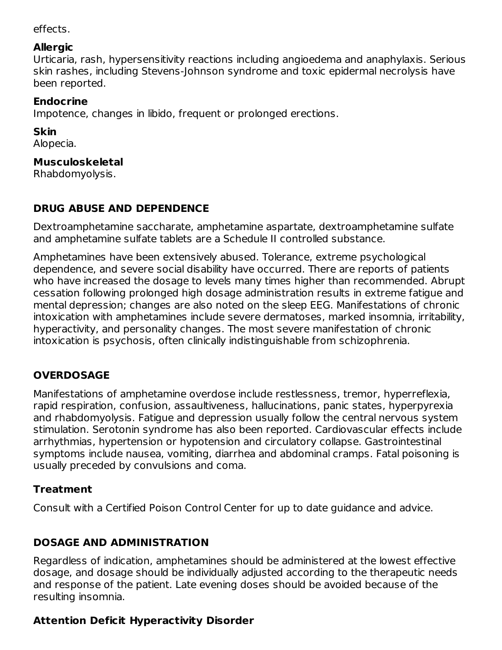effects.

## **Allergic**

Urticaria, rash, hypersensitivity reactions including angioedema and anaphylaxis. Serious skin rashes, including Stevens-Johnson syndrome and toxic epidermal necrolysis have been reported.

## **Endocrine**

Impotence, changes in libido, frequent or prolonged erections.

# **Skin**

Alopecia.

# **Musculoskeletal**

Rhabdomyolysis.

# **DRUG ABUSE AND DEPENDENCE**

Dextroamphetamine saccharate, amphetamine aspartate, dextroamphetamine sulfate and amphetamine sulfate tablets are a Schedule II controlled substance.

Amphetamines have been extensively abused. Tolerance, extreme psychological dependence, and severe social disability have occurred. There are reports of patients who have increased the dosage to levels many times higher than recommended. Abrupt cessation following prolonged high dosage administration results in extreme fatigue and mental depression; changes are also noted on the sleep EEG. Manifestations of chronic intoxication with amphetamines include severe dermatoses, marked insomnia, irritability, hyperactivity, and personality changes. The most severe manifestation of chronic intoxication is psychosis, often clinically indistinguishable from schizophrenia.

# **OVERDOSAGE**

Manifestations of amphetamine overdose include restlessness, tremor, hyperreflexia, rapid respiration, confusion, assaultiveness, hallucinations, panic states, hyperpyrexia and rhabdomyolysis. Fatigue and depression usually follow the central nervous system stimulation. Serotonin syndrome has also been reported. Cardiovascular effects include arrhythmias, hypertension or hypotension and circulatory collapse. Gastrointestinal symptoms include nausea, vomiting, diarrhea and abdominal cramps. Fatal poisoning is usually preceded by convulsions and coma.

# **Treatment**

Consult with a Certified Poison Control Center for up to date guidance and advice.

# **DOSAGE AND ADMINISTRATION**

Regardless of indication, amphetamines should be administered at the lowest effective dosage, and dosage should be individually adjusted according to the therapeutic needs and response of the patient. Late evening doses should be avoided because of the resulting insomnia.

# **Attention Deficit Hyperactivity Disorder**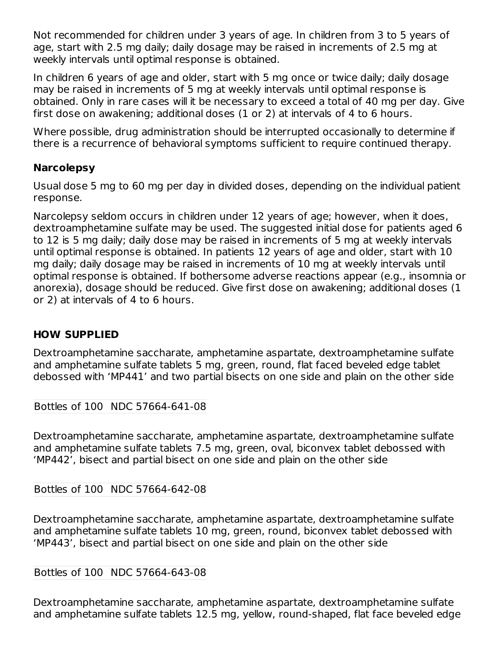Not recommended for children under 3 years of age. In children from 3 to 5 years of age, start with 2.5 mg daily; daily dosage may be raised in increments of 2.5 mg at weekly intervals until optimal response is obtained.

In children 6 years of age and older, start with 5 mg once or twice daily; daily dosage may be raised in increments of 5 mg at weekly intervals until optimal response is obtained. Only in rare cases will it be necessary to exceed a total of 40 mg per day. Give first dose on awakening; additional doses (1 or 2) at intervals of 4 to 6 hours.

Where possible, drug administration should be interrupted occasionally to determine if there is a recurrence of behavioral symptoms sufficient to require continued therapy.

## **Narcolepsy**

Usual dose 5 mg to 60 mg per day in divided doses, depending on the individual patient response.

Narcolepsy seldom occurs in children under 12 years of age; however, when it does, dextroamphetamine sulfate may be used. The suggested initial dose for patients aged 6 to 12 is 5 mg daily; daily dose may be raised in increments of 5 mg at weekly intervals until optimal response is obtained. In patients 12 years of age and older, start with 10 mg daily; daily dosage may be raised in increments of 10 mg at weekly intervals until optimal response is obtained. If bothersome adverse reactions appear (e.g., insomnia or anorexia), dosage should be reduced. Give first dose on awakening; additional doses (1 or 2) at intervals of 4 to 6 hours.

### **HOW SUPPLIED**

Dextroamphetamine saccharate, amphetamine aspartate, dextroamphetamine sulfate and amphetamine sulfate tablets 5 mg, green, round, flat faced beveled edge tablet debossed with 'MP441' and two partial bisects on one side and plain on the other side

### Bottles of 100 NDC 57664-641-08

Dextroamphetamine saccharate, amphetamine aspartate, dextroamphetamine sulfate and amphetamine sulfate tablets 7.5 mg, green, oval, biconvex tablet debossed with 'MP442', bisect and partial bisect on one side and plain on the other side

### Bottles of 100 NDC 57664-642-08

Dextroamphetamine saccharate, amphetamine aspartate, dextroamphetamine sulfate and amphetamine sulfate tablets 10 mg, green, round, biconvex tablet debossed with 'MP443', bisect and partial bisect on one side and plain on the other side

### Bottles of 100 NDC 57664-643-08

Dextroamphetamine saccharate, amphetamine aspartate, dextroamphetamine sulfate and amphetamine sulfate tablets 12.5 mg, yellow, round-shaped, flat face beveled edge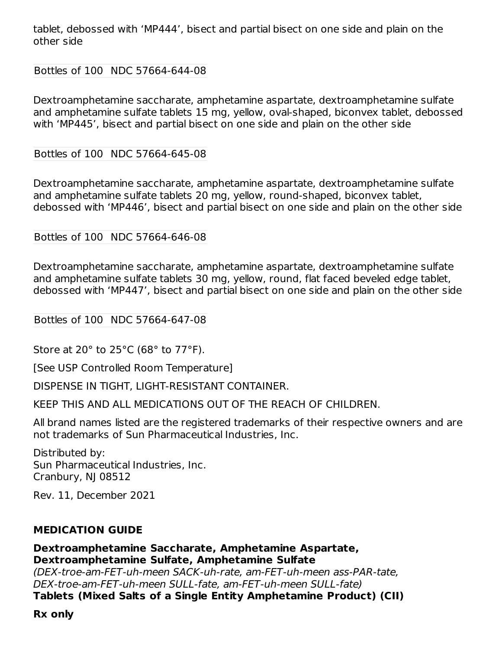tablet, debossed with 'MP444', bisect and partial bisect on one side and plain on the other side

### Bottles of 100 NDC 57664-644-08

Dextroamphetamine saccharate, amphetamine aspartate, dextroamphetamine sulfate and amphetamine sulfate tablets 15 mg, yellow, oval-shaped, biconvex tablet, debossed with 'MP445', bisect and partial bisect on one side and plain on the other side

#### Bottles of 100 NDC 57664-645-08

Dextroamphetamine saccharate, amphetamine aspartate, dextroamphetamine sulfate and amphetamine sulfate tablets 20 mg, yellow, round-shaped, biconvex tablet, debossed with 'MP446', bisect and partial bisect on one side and plain on the other side

#### Bottles of 100 NDC 57664-646-08

Dextroamphetamine saccharate, amphetamine aspartate, dextroamphetamine sulfate and amphetamine sulfate tablets 30 mg, yellow, round, flat faced beveled edge tablet, debossed with 'MP447', bisect and partial bisect on one side and plain on the other side

#### Bottles of 100 NDC 57664-647-08

Store at 20 $\degree$  to 25 $\degree$ C (68 $\degree$  to 77 $\degree$ F).

[See USP Controlled Room Temperature]

DISPENSE IN TIGHT, LIGHT-RESISTANT CONTAINER.

KEEP THIS AND ALL MEDICATIONS OUT OF THE REACH OF CHILDREN.

All brand names listed are the registered trademarks of their respective owners and are not trademarks of Sun Pharmaceutical Industries, Inc.

Distributed by: Sun Pharmaceutical Industries, Inc. Cranbury, NJ 08512

Rev. 11, December 2021

#### **MEDICATION GUIDE**

#### **Dextroamphetamine Saccharate, Amphetamine Aspartate, Dextroamphetamine Sulfate, Amphetamine Sulfate**

(DEX-troe-am-FET-uh-meen SACK-uh-rate, am-FET-uh-meen ass-PAR-tate, DEX-troe-am-FET-uh-meen SULL-fate, am-FET-uh-meen SULL-fate) **Tablets (Mixed Salts of a Single Entity Amphetamine Product) (CII)**

**Rx only**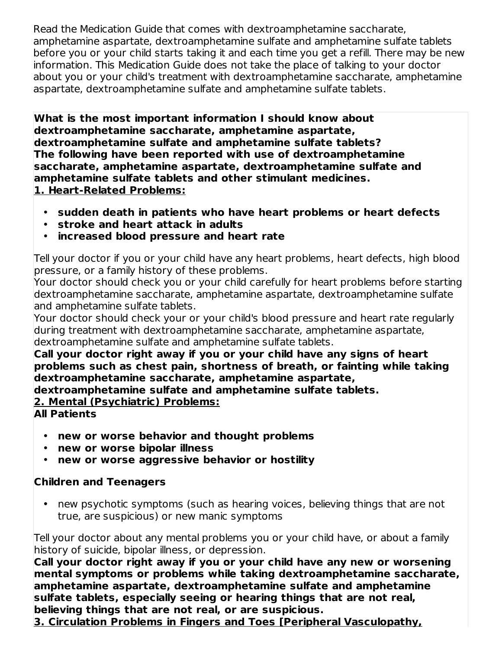Read the Medication Guide that comes with dextroamphetamine saccharate, amphetamine aspartate, dextroamphetamine sulfate and amphetamine sulfate tablets before you or your child starts taking it and each time you get a refill. There may be new information. This Medication Guide does not take the place of talking to your doctor about you or your child's treatment with dextroamphetamine saccharate, amphetamine aspartate, dextroamphetamine sulfate and amphetamine sulfate tablets.

**What is the most important information I should know about dextroamphetamine saccharate, amphetamine aspartate, dextroamphetamine sulfate and amphetamine sulfate tablets? The following have been reported with use of dextroamphetamine saccharate, amphetamine aspartate, dextroamphetamine sulfate and amphetamine sulfate tablets and other stimulant medicines. 1. Heart-Related Problems:**

- **sudden death in patients who have heart problems or heart defects**
- **stroke and heart attack in adults**
- **increased blood pressure and heart rate**

Tell your doctor if you or your child have any heart problems, heart defects, high blood pressure, or a family history of these problems.

Your doctor should check you or your child carefully for heart problems before starting dextroamphetamine saccharate, amphetamine aspartate, dextroamphetamine sulfate and amphetamine sulfate tablets.

Your doctor should check your or your child's blood pressure and heart rate regularly during treatment with dextroamphetamine saccharate, amphetamine aspartate, dextroamphetamine sulfate and amphetamine sulfate tablets.

**Call your doctor right away if you or your child have any signs of heart problems such as chest pain, shortness of breath, or fainting while taking dextroamphetamine saccharate, amphetamine aspartate,**

**dextroamphetamine sulfate and amphetamine sulfate tablets.**

**2. Mental (Psychiatric) Problems:**

**All Patients**

- **new or worse behavior and thought problems**
- **new or worse bipolar illness**
- **new or worse aggressive behavior or hostility**

# **Children and Teenagers**

• new psychotic symptoms (such as hearing voices, believing things that are not true, are suspicious) or new manic symptoms

Tell your doctor about any mental problems you or your child have, or about a family history of suicide, bipolar illness, or depression.

**Call your doctor right away if you or your child have any new or worsening mental symptoms or problems while taking dextroamphetamine saccharate, amphetamine aspartate, dextroamphetamine sulfate and amphetamine sulfate tablets, especially seeing or hearing things that are not real, believing things that are not real, or are suspicious.**

**3. Circulation Problems in Fingers and Toes [Peripheral Vasculopathy,**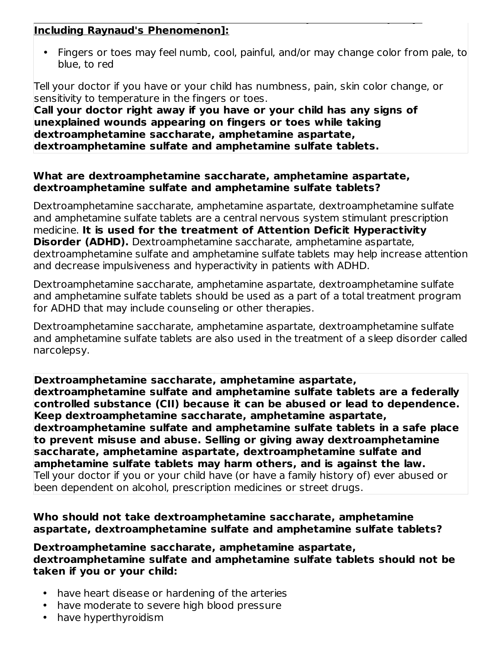#### **3. Circulation Problems in Fingers and Toes [Peripheral Vasculopathy, Including Raynaud's Phenomenon]:**

• Fingers or toes may feel numb, cool, painful, and/or may change color from pale, to blue, to red

Tell your doctor if you have or your child has numbness, pain, skin color change, or sensitivity to temperature in the fingers or toes.

**Call your doctor right away if you have or your child has any signs of unexplained wounds appearing on fingers or toes while taking dextroamphetamine saccharate, amphetamine aspartate, dextroamphetamine sulfate and amphetamine sulfate tablets.**

#### **What are dextroamphetamine saccharate, amphetamine aspartate, dextroamphetamine sulfate and amphetamine sulfate tablets?**

Dextroamphetamine saccharate, amphetamine aspartate, dextroamphetamine sulfate and amphetamine sulfate tablets are a central nervous system stimulant prescription medicine. **It is used for the treatment of Attention Deficit Hyperactivity Disorder (ADHD).** Dextroamphetamine saccharate, amphetamine aspartate, dextroamphetamine sulfate and amphetamine sulfate tablets may help increase attention and decrease impulsiveness and hyperactivity in patients with ADHD.

Dextroamphetamine saccharate, amphetamine aspartate, dextroamphetamine sulfate and amphetamine sulfate tablets should be used as a part of a total treatment program for ADHD that may include counseling or other therapies.

Dextroamphetamine saccharate, amphetamine aspartate, dextroamphetamine sulfate and amphetamine sulfate tablets are also used in the treatment of a sleep disorder called narcolepsy.

**Dextroamphetamine saccharate, amphetamine aspartate, dextroamphetamine sulfate and amphetamine sulfate tablets are a federally controlled substance (CII) because it can be abused or lead to dependence. Keep dextroamphetamine saccharate, amphetamine aspartate, dextroamphetamine sulfate and amphetamine sulfate tablets in a safe place to prevent misuse and abuse. Selling or giving away dextroamphetamine saccharate, amphetamine aspartate, dextroamphetamine sulfate and amphetamine sulfate tablets may harm others, and is against the law.** Tell your doctor if you or your child have (or have a family history of) ever abused or been dependent on alcohol, prescription medicines or street drugs.

### **Who should not take dextroamphetamine saccharate, amphetamine aspartate, dextroamphetamine sulfate and amphetamine sulfate tablets?**

**Dextroamphetamine saccharate, amphetamine aspartate, dextroamphetamine sulfate and amphetamine sulfate tablets should not be taken if you or your child:**

- have heart disease or hardening of the arteries
- have moderate to severe high blood pressure
- have hyperthyroidism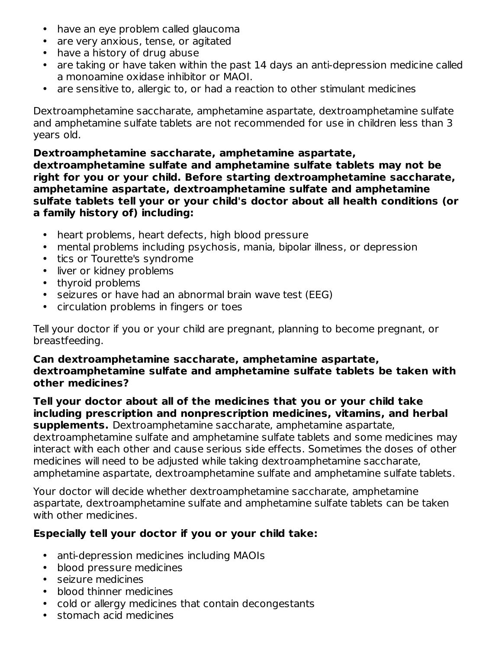- have an eye problem called glaucoma
- are very anxious, tense, or agitated
- have a history of drug abuse
- are taking or have taken within the past 14 days an anti-depression medicine called a monoamine oxidase inhibitor or MAOI.
- are sensitive to, allergic to, or had a reaction to other stimulant medicines

Dextroamphetamine saccharate, amphetamine aspartate, dextroamphetamine sulfate and amphetamine sulfate tablets are not recommended for use in children less than 3 years old.

## **Dextroamphetamine saccharate, amphetamine aspartate,**

**dextroamphetamine sulfate and amphetamine sulfate tablets may not be right for you or your child. Before starting dextroamphetamine saccharate, amphetamine aspartate, dextroamphetamine sulfate and amphetamine sulfate tablets tell your or your child's doctor about all health conditions (or a family history of) including:**

- heart problems, heart defects, high blood pressure
- mental problems including psychosis, mania, bipolar illness, or depression
- tics or Tourette's syndrome
- liver or kidney problems
- thyroid problems
- seizures or have had an abnormal brain wave test (EEG)
- circulation problems in fingers or toes

Tell your doctor if you or your child are pregnant, planning to become pregnant, or breastfeeding.

#### **Can dextroamphetamine saccharate, amphetamine aspartate, dextroamphetamine sulfate and amphetamine sulfate tablets be taken with other medicines?**

# **Tell your doctor about all of the medicines that you or your child take including prescription and nonprescription medicines, vitamins, and herbal**

**supplements.** Dextroamphetamine saccharate, amphetamine aspartate, dextroamphetamine sulfate and amphetamine sulfate tablets and some medicines may interact with each other and cause serious side effects. Sometimes the doses of other medicines will need to be adjusted while taking dextroamphetamine saccharate, amphetamine aspartate, dextroamphetamine sulfate and amphetamine sulfate tablets.

Your doctor will decide whether dextroamphetamine saccharate, amphetamine aspartate, dextroamphetamine sulfate and amphetamine sulfate tablets can be taken with other medicines.

# **Especially tell your doctor if you or your child take:**

- anti-depression medicines including MAOIs
- blood pressure medicines
- seizure medicines
- blood thinner medicines
- cold or allergy medicines that contain decongestants
- stomach acid medicines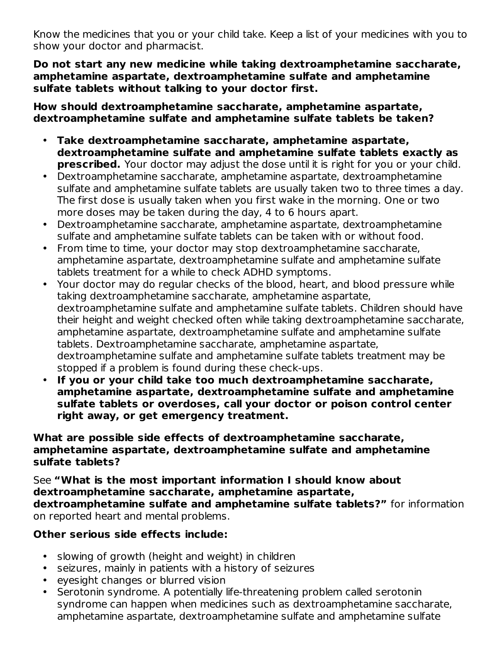Know the medicines that you or your child take. Keep a list of your medicines with you to show your doctor and pharmacist.

**Do not start any new medicine while taking dextroamphetamine saccharate, amphetamine aspartate, dextroamphetamine sulfate and amphetamine sulfate tablets without talking to your doctor first.**

**How should dextroamphetamine saccharate, amphetamine aspartate, dextroamphetamine sulfate and amphetamine sulfate tablets be taken?**

- **Take dextroamphetamine saccharate, amphetamine aspartate, dextroamphetamine sulfate and amphetamine sulfate tablets exactly as prescribed.** Your doctor may adjust the dose until it is right for you or your child.
- Dextroamphetamine saccharate, amphetamine aspartate, dextroamphetamine sulfate and amphetamine sulfate tablets are usually taken two to three times a day. The first dose is usually taken when you first wake in the morning. One or two more doses may be taken during the day, 4 to 6 hours apart.
- Dextroamphetamine saccharate, amphetamine aspartate, dextroamphetamine sulfate and amphetamine sulfate tablets can be taken with or without food.
- From time to time, your doctor may stop dextroamphetamine saccharate, amphetamine aspartate, dextroamphetamine sulfate and amphetamine sulfate tablets treatment for a while to check ADHD symptoms.
- Your doctor may do regular checks of the blood, heart, and blood pressure while taking dextroamphetamine saccharate, amphetamine aspartate, dextroamphetamine sulfate and amphetamine sulfate tablets. Children should have their height and weight checked often while taking dextroamphetamine saccharate, amphetamine aspartate, dextroamphetamine sulfate and amphetamine sulfate tablets. Dextroamphetamine saccharate, amphetamine aspartate, dextroamphetamine sulfate and amphetamine sulfate tablets treatment may be stopped if a problem is found during these check-ups.
- **If you or your child take too much dextroamphetamine saccharate, amphetamine aspartate, dextroamphetamine sulfate and amphetamine sulfate tablets or overdoses, call your doctor or poison control center right away, or get emergency treatment.**

**What are possible side effects of dextroamphetamine saccharate, amphetamine aspartate, dextroamphetamine sulfate and amphetamine sulfate tablets?**

See **"What is the most important information I should know about dextroamphetamine saccharate, amphetamine aspartate, dextroamphetamine sulfate and amphetamine sulfate tablets?"** for information on reported heart and mental problems.

## **Other serious side effects include:**

- slowing of growth (height and weight) in children
- seizures, mainly in patients with a history of seizures
- eyesight changes or blurred vision
- Serotonin syndrome. A potentially life-threatening problem called serotonin syndrome can happen when medicines such as dextroamphetamine saccharate, amphetamine aspartate, dextroamphetamine sulfate and amphetamine sulfate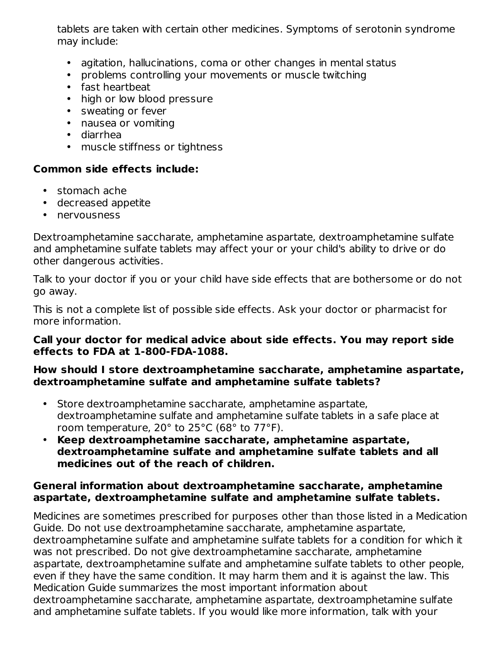tablets are taken with certain other medicines. Symptoms of serotonin syndrome may include:

- agitation, hallucinations, coma or other changes in mental status
- problems controlling your movements or muscle twitching
- fast heartbeat
- high or low blood pressure
- sweating or fever
- nausea or vomiting
- diarrhea
- muscle stiffness or tightness

## **Common side effects include:**

- stomach ache
- decreased appetite
- nervousness

Dextroamphetamine saccharate, amphetamine aspartate, dextroamphetamine sulfate and amphetamine sulfate tablets may affect your or your child's ability to drive or do other dangerous activities.

Talk to your doctor if you or your child have side effects that are bothersome or do not go away.

This is not a complete list of possible side effects. Ask your doctor or pharmacist for more information.

### **Call your doctor for medical advice about side effects. You may report side effects to FDA at 1-800-FDA-1088.**

### **How should I store dextroamphetamine saccharate, amphetamine aspartate, dextroamphetamine sulfate and amphetamine sulfate tablets?**

- Store dextroamphetamine saccharate, amphetamine aspartate, dextroamphetamine sulfate and amphetamine sulfate tablets in a safe place at room temperature, 20° to 25°C (68° to 77°F).
- **Keep dextroamphetamine saccharate, amphetamine aspartate, dextroamphetamine sulfate and amphetamine sulfate tablets and all medicines out of the reach of children.**

### **General information about dextroamphetamine saccharate, amphetamine aspartate, dextroamphetamine sulfate and amphetamine sulfate tablets.**

Medicines are sometimes prescribed for purposes other than those listed in a Medication Guide. Do not use dextroamphetamine saccharate, amphetamine aspartate, dextroamphetamine sulfate and amphetamine sulfate tablets for a condition for which it was not prescribed. Do not give dextroamphetamine saccharate, amphetamine aspartate, dextroamphetamine sulfate and amphetamine sulfate tablets to other people, even if they have the same condition. It may harm them and it is against the law. This Medication Guide summarizes the most important information about dextroamphetamine saccharate, amphetamine aspartate, dextroamphetamine sulfate and amphetamine sulfate tablets. If you would like more information, talk with your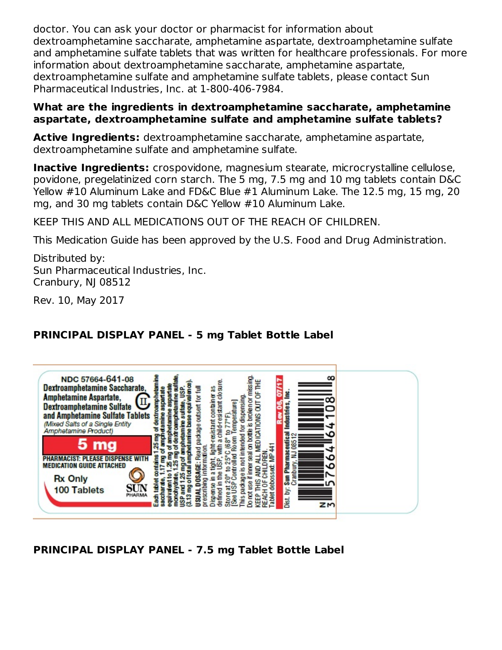doctor. You can ask your doctor or pharmacist for information about dextroamphetamine saccharate, amphetamine aspartate, dextroamphetamine sulfate and amphetamine sulfate tablets that was written for healthcare professionals. For more information about dextroamphetamine saccharate, amphetamine aspartate, dextroamphetamine sulfate and amphetamine sulfate tablets, please contact Sun Pharmaceutical Industries, Inc. at 1-800-406-7984.

#### **What are the ingredients in dextroamphetamine saccharate, amphetamine aspartate, dextroamphetamine sulfate and amphetamine sulfate tablets?**

**Active Ingredients:** dextroamphetamine saccharate, amphetamine aspartate, dextroamphetamine sulfate and amphetamine sulfate.

**Inactive Ingredients:** crospovidone, magnesium stearate, microcrystalline cellulose, povidone, pregelatinized corn starch. The 5 mg, 7.5 mg and 10 mg tablets contain D&C Yellow #10 Aluminum Lake and FD&C Blue #1 Aluminum Lake. The 12.5 mg, 15 mg, 20 mg, and 30 mg tablets contain D&C Yellow #10 Aluminum Lake.

KEEP THIS AND ALL MEDICATIONS OUT OF THE REACH OF CHILDREN.

This Medication Guide has been approved by the U.S. Food and Drug Administration.

Distributed by: Sun Pharmaceutical Industries, Inc. Cranbury, NJ 08512

Rev. 10, May 2017

# **PRINCIPAL DISPLAY PANEL - 5 mg Tablet Bottle Label**



**PRINCIPAL DISPLAY PANEL - 7.5 mg Tablet Bottle Label**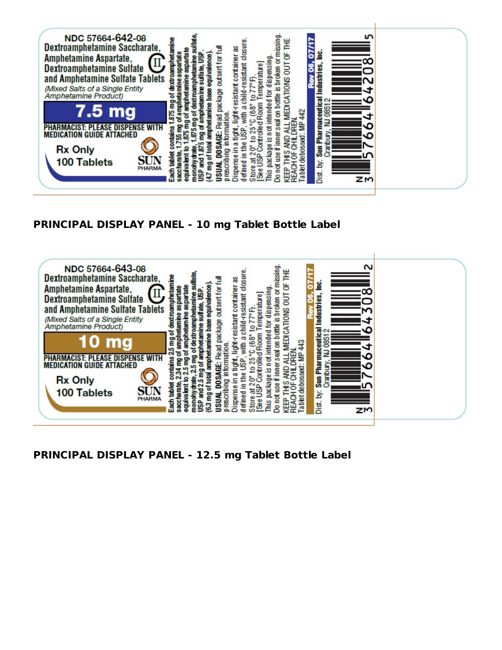

## **PRINCIPAL DISPLAY PANEL - 10 mg Tablet Bottle Label**



**PRINCIPAL DISPLAY PANEL - 12.5 mg Tablet Bottle Label**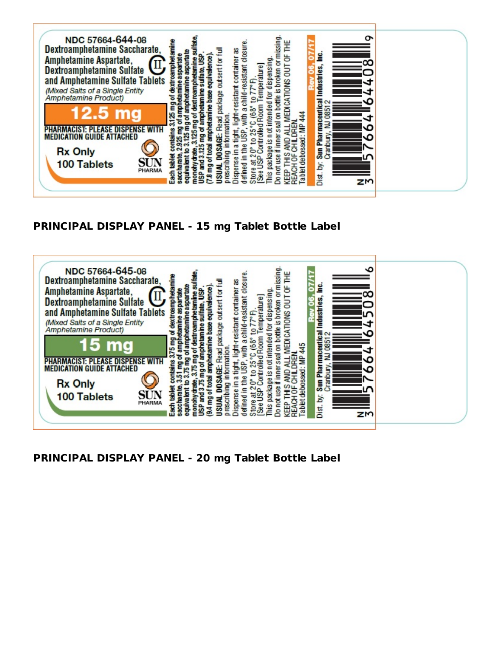

**PRINCIPAL DISPLAY PANEL - 15 mg Tablet Bottle Label**



**PRINCIPAL DISPLAY PANEL - 20 mg Tablet Bottle Label**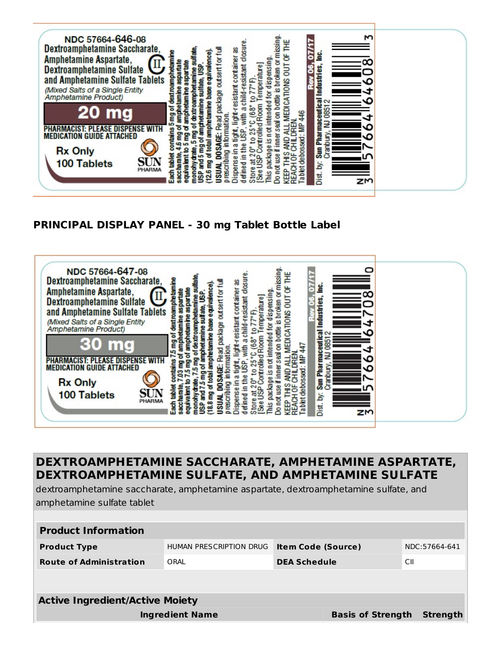

# **PRINCIPAL DISPLAY PANEL - 30 mg Tablet Bottle Label**



# **DEXTROAMPHETAMINE SACCHARATE, AMPHETAMINE ASPARTATE, DEXTROAMPHETAMINE SULFATE, AND AMPHETAMINE SULFATE**

| <b>Product Information</b>             |                         |                           |                          |                 |  |  |
|----------------------------------------|-------------------------|---------------------------|--------------------------|-----------------|--|--|
| <b>Product Type</b>                    | HUMAN PRESCRIPTION DRUG | <b>Item Code (Source)</b> |                          | NDC:57664-641   |  |  |
| ORAI<br><b>Route of Administration</b> |                         | <b>DEA Schedule</b>       |                          | CII             |  |  |
|                                        |                         |                           |                          |                 |  |  |
| <b>Active Ingredient/Active Moiety</b> |                         |                           |                          |                 |  |  |
| <b>Ingredient Name</b>                 |                         |                           | <b>Basis of Strength</b> | <b>Strength</b> |  |  |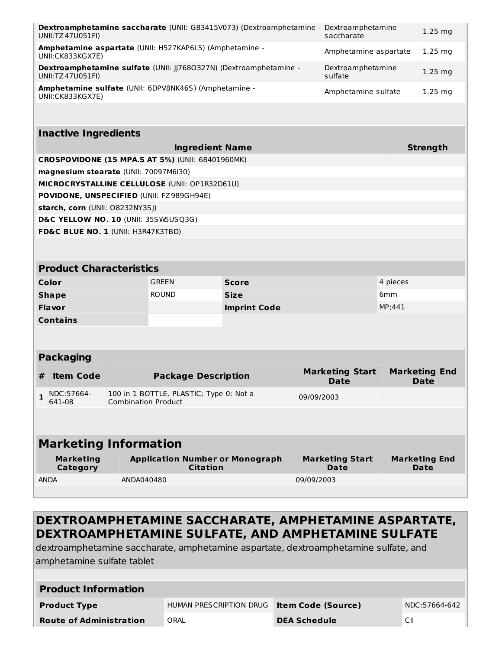| UNII:TZ 47U051FI)                                |                                                                                     | <b>Dextroamphetamine saccharate</b> (UNII: G83415V073) (Dextroamphetamine - Dextroamphetamine |                     | saccharate                            |  |          | $1.25$ mg                           |
|--------------------------------------------------|-------------------------------------------------------------------------------------|-----------------------------------------------------------------------------------------------|---------------------|---------------------------------------|--|----------|-------------------------------------|
| UNII: CK833KGX7E)                                |                                                                                     | Amphetamine aspartate (UNII: H527KAP6L5) (Amphetamine -                                       |                     | Amphetamine aspartate                 |  |          | $1.25$ mg                           |
| UNII:TZ 47U051FI)                                |                                                                                     | Dextroamphetamine sulfate (UNII: JJ7680327N) (Dextroamphetamine -                             |                     | Dextroamphetamine<br>sulfate          |  |          | $1.25$ mg                           |
| UNII: CK833KGX7E)                                |                                                                                     | Amphetamine sulfate (UNII: 6DPV8NK46S) (Amphetamine -                                         |                     | Amphetamine sulfate                   |  |          | $1.25$ mg                           |
|                                                  |                                                                                     |                                                                                               |                     |                                       |  |          |                                     |
| <b>Inactive Ingredients</b>                      |                                                                                     |                                                                                               |                     |                                       |  |          |                                     |
| <b>Ingredient Name</b>                           |                                                                                     |                                                                                               |                     |                                       |  |          | <b>Strength</b>                     |
| CROSPOVIDONE (15 MPA.S AT 5%) (UNII: 68401960MK) |                                                                                     |                                                                                               |                     |                                       |  |          |                                     |
| magnesium stearate (UNII: 70097M6I30)            |                                                                                     |                                                                                               |                     |                                       |  |          |                                     |
|                                                  |                                                                                     | MICROCRYSTALLINE CELLULOSE (UNII: OP1R32D61U)                                                 |                     |                                       |  |          |                                     |
| POVIDONE, UNSPECIFIED (UNII: FZ989GH94E)         |                                                                                     |                                                                                               |                     |                                       |  |          |                                     |
| starch, corn (UNII: O8232NY3SJ)                  |                                                                                     |                                                                                               |                     |                                       |  |          |                                     |
| D&C YELLOW NO. 10 (UNII: 35SW5USQ3G)             |                                                                                     |                                                                                               |                     |                                       |  |          |                                     |
| FD&C BLUE NO. 1 (UNII: H3R47K3TBD)               |                                                                                     |                                                                                               |                     |                                       |  |          |                                     |
|                                                  |                                                                                     |                                                                                               |                     |                                       |  |          |                                     |
| <b>Product Characteristics</b>                   |                                                                                     |                                                                                               |                     |                                       |  |          |                                     |
| Color                                            |                                                                                     | <b>GREEN</b>                                                                                  | <b>Score</b>        |                                       |  | 4 pieces |                                     |
| <b>Shape</b>                                     |                                                                                     | <b>ROUND</b>                                                                                  | <b>Size</b>         |                                       |  | 6mm      |                                     |
| <b>Flavor</b>                                    |                                                                                     |                                                                                               | <b>Imprint Code</b> |                                       |  | MP;441   |                                     |
| <b>Contains</b>                                  |                                                                                     |                                                                                               |                     |                                       |  |          |                                     |
|                                                  |                                                                                     |                                                                                               |                     |                                       |  |          |                                     |
| <b>Packaging</b>                                 |                                                                                     |                                                                                               |                     |                                       |  |          |                                     |
| <b>Item Code</b><br>#                            |                                                                                     | <b>Package Description</b>                                                                    |                     | <b>Marketing Start</b><br><b>Date</b> |  |          | <b>Marketing End</b><br><b>Date</b> |
| $1$ NDC: 57664-<br>641-08                        | 100 in 1 BOTTLE, PLASTIC; Type 0: Not a<br>09/09/2003<br><b>Combination Product</b> |                                                                                               |                     |                                       |  |          |                                     |
|                                                  |                                                                                     |                                                                                               |                     |                                       |  |          |                                     |
|                                                  | <b>Marketing Information</b>                                                        |                                                                                               |                     |                                       |  |          |                                     |
| <b>Marketing</b><br>Category                     |                                                                                     | <b>Application Number or Monograph</b><br><b>Citation</b>                                     |                     | <b>Marketing Start</b><br>Date        |  |          | <b>Marketing End</b><br>Date        |
| <b>ANDA</b>                                      | ANDA040480                                                                          |                                                                                               |                     | 09/09/2003                            |  |          |                                     |
|                                                  |                                                                                     |                                                                                               |                     |                                       |  |          |                                     |

| <b>Product Information</b>     |                         |                           |               |  |  |  |
|--------------------------------|-------------------------|---------------------------|---------------|--|--|--|
| <b>Product Type</b>            | HUMAN PRESCRIPTION DRUG | <b>Item Code (Source)</b> | NDC:57664-642 |  |  |  |
| <b>Route of Administration</b> | ORAL                    | <b>DEA Schedule</b>       | CII           |  |  |  |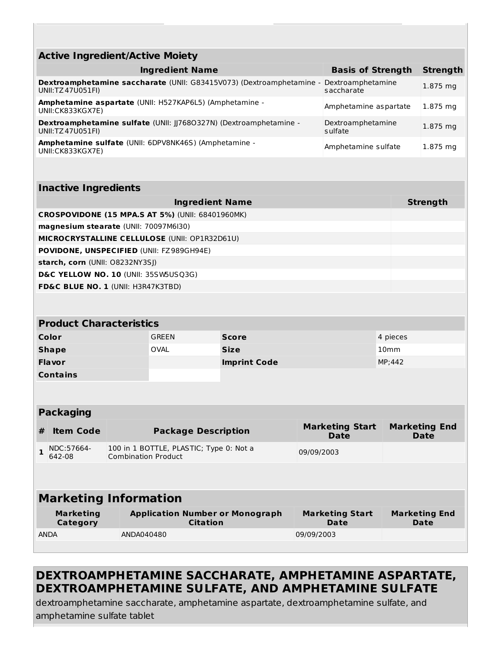| <b>Active Ingredient/Active Moiety</b>                                                   |                                 |                 |  |  |  |  |  |
|------------------------------------------------------------------------------------------|---------------------------------|-----------------|--|--|--|--|--|
| <b>Ingredient Name</b>                                                                   | <b>Basis of Strength</b>        | <b>Strength</b> |  |  |  |  |  |
| Dextroamphetamine saccharate (UNII: G83415V073) (Dextroamphetamine -<br>UNII:TZ47U051FI) | Dextroamphetamine<br>saccharate | 1.875 mg        |  |  |  |  |  |
| Amphetamine aspartate (UNII: H527KAP6L5) (Amphetamine -<br>UNII:CK833KGX7E)              | Amphetamine as partate          | 1.875 mg        |  |  |  |  |  |
| Dextroamphetamine sulfate (UNII: JJ7680327N) (Dextroamphetamine -<br>UNII:TZ47U051FI)    | Dextroamphetamine<br>sulfate    | 1.875 mg        |  |  |  |  |  |
| Amphetamine sulfate (UNII: 6DPV8NK46S) (Amphetamine -<br>UNII: CK833KGX7E)               | Amphetamine sulfate             | 1.875 mg        |  |  |  |  |  |

| <b>Inactive Ingredients</b>                             |                 |
|---------------------------------------------------------|-----------------|
| <b>Ingredient Name</b>                                  | <b>Strength</b> |
| <b>CROSPOVIDONE (15 MPA.S AT 5%) (UNII: 68401960MK)</b> |                 |
| magnesium stearate (UNII: 70097M6I30)                   |                 |
| MICROCRYSTALLINE CELLULOSE (UNII: OP1R32D61U)           |                 |
| <b>POVIDONE, UNSPECIFIED (UNII: FZ989GH94E)</b>         |                 |
| starch, corn (UNII: 08232NY3SJ)                         |                 |
| D&C YELLOW NO. 10 (UNII: 35SW5USQ3G)                    |                 |
| <b>FD&amp;C BLUE NO. 1 (UNII: H3R47K3TBD)</b>           |                 |
|                                                         |                 |

| <b>Product Characteristics</b> |              |                     |                  |  |  |  |
|--------------------------------|--------------|---------------------|------------------|--|--|--|
| Color                          | <b>GREEN</b> | <b>Score</b>        | 4 pieces         |  |  |  |
| <b>Shape</b>                   | OVAL         | <b>Size</b>         | 10 <sub>mm</sub> |  |  |  |
| <b>Flavor</b>                  |              | <b>Imprint Code</b> | MP:442           |  |  |  |
| <b>Contains</b>                |              |                     |                  |  |  |  |

| <b>Packaging</b>     |                                                                       |                                |                              |  |  |  |  |
|----------------------|-----------------------------------------------------------------------|--------------------------------|------------------------------|--|--|--|--|
| <b>Item Code</b>     | <b>Package Description</b>                                            | <b>Marketing Start</b><br>Date | <b>Marketing End</b><br>Date |  |  |  |  |
| NDC:57664-<br>642-08 | 100 in 1 BOTTLE, PLASTIC; Type 0: Not a<br><b>Combination Product</b> | 09/09/2003                     |                              |  |  |  |  |
|                      |                                                                       |                                |                              |  |  |  |  |
|                      | Markating Information                                                 |                                |                              |  |  |  |  |

| <b>Marketing Information</b> |                                                           |                                |                              |  |  |  |
|------------------------------|-----------------------------------------------------------|--------------------------------|------------------------------|--|--|--|
| <b>Marketing</b><br>Category | <b>Application Number or Monograph</b><br><b>Citation</b> | <b>Marketing Start</b><br>Date | <b>Marketing End</b><br>Date |  |  |  |
| <b>ANDA</b>                  | ANDA040480                                                | 09/09/2003                     |                              |  |  |  |
|                              |                                                           |                                |                              |  |  |  |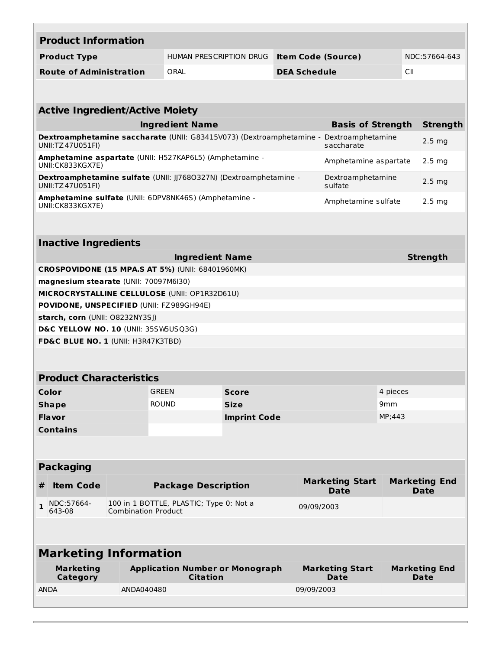| <b>Product Information</b>                                                                                                  |                                                                                        |                                                                   |                     |                           |                                       |                   |                                     |  |
|-----------------------------------------------------------------------------------------------------------------------------|----------------------------------------------------------------------------------------|-------------------------------------------------------------------|---------------------|---------------------------|---------------------------------------|-------------------|-------------------------------------|--|
| <b>Product Type</b>                                                                                                         |                                                                                        | HUMAN PRESCRIPTION DRUG                                           |                     | <b>Item Code (Source)</b> |                                       |                   | NDC:57664-643                       |  |
| <b>Route of Administration</b>                                                                                              |                                                                                        | ORAL                                                              |                     | <b>DEA Schedule</b>       |                                       | CII               |                                     |  |
|                                                                                                                             |                                                                                        |                                                                   |                     |                           |                                       |                   |                                     |  |
| <b>Active Ingredient/Active Moiety</b>                                                                                      |                                                                                        |                                                                   |                     |                           |                                       |                   |                                     |  |
|                                                                                                                             |                                                                                        | <b>Ingredient Name</b>                                            |                     |                           | <b>Basis of Strength</b>              |                   | <b>Strength</b>                     |  |
| Dextroamphetamine saccharate (UNII: G83415V073) (Dextroamphetamine -<br>Dextroamphetamine<br>saccharate<br>UNII:TZ47U051FI) |                                                                                        |                                                                   |                     |                           |                                       | 2.5 <sub>mg</sub> |                                     |  |
| Amphetamine aspartate (UNII: H527KAP6L5) (Amphetamine -<br>Amphetamine aspartate<br>UNII: CK833KGX7E)                       |                                                                                        |                                                                   |                     |                           |                                       | 2.5 <sub>mg</sub> |                                     |  |
| UNII:TZ47U051FI)                                                                                                            |                                                                                        | Dextroamphetamine sulfate (UNII: JJ7680327N) (Dextroamphetamine - |                     |                           | Dextroamphetamine<br>sulfate          |                   | 2.5 <sub>mg</sub>                   |  |
| UNII:CK833KGX7E)                                                                                                            |                                                                                        | Amphetamine sulfate (UNII: 6DPV8NK46S) (Amphetamine -             |                     |                           | Amphetamine sulfate                   |                   | 2.5 <sub>mg</sub>                   |  |
|                                                                                                                             |                                                                                        |                                                                   |                     |                           |                                       |                   |                                     |  |
| <b>Inactive Ingredients</b>                                                                                                 |                                                                                        |                                                                   |                     |                           |                                       |                   |                                     |  |
|                                                                                                                             |                                                                                        | <b>Ingredient Name</b>                                            |                     |                           |                                       |                   | <b>Strength</b>                     |  |
|                                                                                                                             |                                                                                        | <b>CROSPOVIDONE (15 MPA.S AT 5%) (UNII: 68401960MK)</b>           |                     |                           |                                       |                   |                                     |  |
|                                                                                                                             | magnesium stearate (UNII: 70097M6I30)<br>MICROCRYSTALLINE CELLULOSE (UNII: OP1R32D61U) |                                                                   |                     |                           |                                       |                   |                                     |  |
| POVIDONE, UNSPECIFIED (UNII: FZ989GH94E)                                                                                    |                                                                                        |                                                                   |                     |                           |                                       |                   |                                     |  |
| starch, corn (UNII: O8232NY3SJ)                                                                                             |                                                                                        |                                                                   |                     |                           |                                       |                   |                                     |  |
| D&C YELLOW NO. 10 (UNII: 35SW5USQ3G)                                                                                        |                                                                                        |                                                                   |                     |                           |                                       |                   |                                     |  |
| FD&C BLUE NO. 1 (UNII: H3R47K3TBD)                                                                                          |                                                                                        |                                                                   |                     |                           |                                       |                   |                                     |  |
|                                                                                                                             |                                                                                        |                                                                   |                     |                           |                                       |                   |                                     |  |
| <b>Product Characteristics</b>                                                                                              |                                                                                        |                                                                   |                     |                           |                                       |                   |                                     |  |
| Color                                                                                                                       |                                                                                        | GREEN                                                             | Score               |                           |                                       | 4 pieces          |                                     |  |
| <b>Shape</b>                                                                                                                |                                                                                        | <b>ROUND</b>                                                      | <b>Size</b>         |                           |                                       | 9 <sub>mm</sub>   |                                     |  |
| <b>Flavor</b>                                                                                                               |                                                                                        |                                                                   | <b>Imprint Code</b> |                           |                                       | MP;443            |                                     |  |
| <b>Contains</b>                                                                                                             |                                                                                        |                                                                   |                     |                           |                                       |                   |                                     |  |
|                                                                                                                             |                                                                                        |                                                                   |                     |                           |                                       |                   |                                     |  |
| <b>Packaging</b>                                                                                                            |                                                                                        |                                                                   |                     |                           |                                       |                   |                                     |  |
| <b>Item Code</b><br>#                                                                                                       |                                                                                        | <b>Package Description</b>                                        |                     |                           | <b>Marketing Start</b><br><b>Date</b> |                   | <b>Marketing End</b><br><b>Date</b> |  |
| NDC:57664-<br>$\mathbf{1}$<br>643-08                                                                                        | 100 in 1 BOTTLE, PLASTIC; Type 0: Not a<br>09/09/2003<br><b>Combination Product</b>    |                                                                   |                     |                           |                                       |                   |                                     |  |
|                                                                                                                             |                                                                                        |                                                                   |                     |                           |                                       |                   |                                     |  |
|                                                                                                                             | <b>Marketing Information</b>                                                           |                                                                   |                     |                           |                                       |                   |                                     |  |
| <b>Marketing</b><br>Category                                                                                                |                                                                                        | <b>Application Number or Monograph</b><br><b>Citation</b>         |                     |                           | <b>Marketing Start</b><br><b>Date</b> |                   | <b>Marketing End</b><br><b>Date</b> |  |
| <b>ANDA</b>                                                                                                                 | ANDA040480                                                                             |                                                                   |                     | 09/09/2003                |                                       |                   |                                     |  |
|                                                                                                                             |                                                                                        |                                                                   |                     |                           |                                       |                   |                                     |  |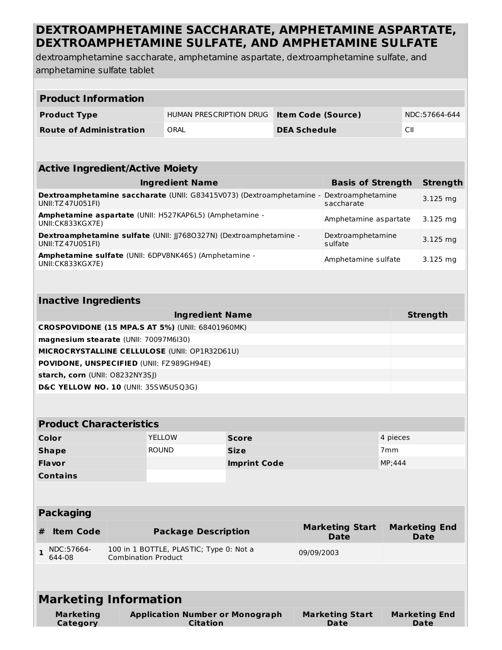| <b>Product Information</b>                                                                                                  |                                                                                     |                                                           |                           |                                       |                 |                                     |  |
|-----------------------------------------------------------------------------------------------------------------------------|-------------------------------------------------------------------------------------|-----------------------------------------------------------|---------------------------|---------------------------------------|-----------------|-------------------------------------|--|
| <b>Product Type</b>                                                                                                         |                                                                                     | HUMAN PRESCRIPTION DRUG                                   | <b>Item Code (Source)</b> |                                       |                 | NDC:57664-644                       |  |
| <b>Route of Administration</b>                                                                                              | ORAL                                                                                |                                                           | <b>DEA Schedule</b>       |                                       | CII             |                                     |  |
|                                                                                                                             |                                                                                     |                                                           |                           |                                       |                 |                                     |  |
| <b>Active Ingredient/Active Moiety</b>                                                                                      |                                                                                     |                                                           |                           |                                       |                 |                                     |  |
|                                                                                                                             | <b>Ingredient Name</b>                                                              |                                                           |                           | <b>Basis of Strength</b>              |                 | <b>Strength</b>                     |  |
| Dextroamphetamine saccharate (UNII: G83415V073) (Dextroamphetamine -<br>Dextroamphetamine<br>UNII:TZ47U051FI)<br>saccharate |                                                                                     |                                                           |                           |                                       |                 | 3.125 mg                            |  |
| Amphetamine aspartate (UNII: H527KAP6L5) (Amphetamine -<br>UNII: CK833KGX7E)                                                |                                                                                     |                                                           |                           | Amphetamine aspartate                 |                 | 3.125 mg                            |  |
| Dextroamphetamine sulfate (UNII: JJ7680327N) (Dextroamphetamine -<br>UNII:TZ47U051FI)                                       |                                                                                     |                                                           |                           | Dextroamphetamine<br>sulfate          |                 | 3.125 mg                            |  |
| Amphetamine sulfate (UNII: 6DPV8NK46S) (Amphetamine -<br>UNII: CK833KGX7E)                                                  |                                                                                     |                                                           |                           | Amphetamine sulfate                   |                 | 3.125 mg                            |  |
|                                                                                                                             |                                                                                     |                                                           |                           |                                       |                 |                                     |  |
| <b>Inactive Ingredients</b>                                                                                                 |                                                                                     |                                                           |                           |                                       |                 |                                     |  |
| <b>Strength</b><br><b>Ingredient Name</b>                                                                                   |                                                                                     |                                                           |                           |                                       |                 |                                     |  |
| <b>CROSPOVIDONE (15 MPA.S AT 5%) (UNII: 68401960MK)</b>                                                                     |                                                                                     |                                                           |                           |                                       |                 |                                     |  |
| magnesium stearate (UNII: 70097M6I30)                                                                                       |                                                                                     |                                                           |                           |                                       |                 |                                     |  |
| MICROCRYSTALLINE CELLULOSE (UNII: OP1R32D61U)                                                                               |                                                                                     |                                                           |                           |                                       |                 |                                     |  |
| POVIDONE, UNSPECIFIED (UNII: FZ989GH94E)                                                                                    |                                                                                     |                                                           |                           |                                       |                 |                                     |  |
| starch, corn (UNII: O8232NY3SJ)                                                                                             |                                                                                     |                                                           |                           |                                       |                 |                                     |  |
| D&C YELLOW NO. 10 (UNII: 35SW5USQ3G)                                                                                        |                                                                                     |                                                           |                           |                                       |                 |                                     |  |
|                                                                                                                             |                                                                                     |                                                           |                           |                                       |                 |                                     |  |
| <b>Product Characteristics</b>                                                                                              |                                                                                     |                                                           |                           |                                       |                 |                                     |  |
| Color                                                                                                                       | <b>YELLOW</b>                                                                       | <b>Score</b>                                              |                           |                                       | 4 pieces        |                                     |  |
| <b>Shape</b>                                                                                                                | <b>ROUND</b>                                                                        | <b>Size</b>                                               |                           |                                       | 7 <sub>mm</sub> |                                     |  |
| <b>Flavor</b>                                                                                                               |                                                                                     | <b>Imprint Code</b>                                       |                           |                                       | MP;444          |                                     |  |
| <b>Contains</b>                                                                                                             |                                                                                     |                                                           |                           |                                       |                 |                                     |  |
|                                                                                                                             |                                                                                     |                                                           |                           |                                       |                 |                                     |  |
| <b>Packaging</b>                                                                                                            |                                                                                     |                                                           |                           |                                       |                 |                                     |  |
| <b>Item Code</b><br>#                                                                                                       |                                                                                     | <b>Package Description</b>                                |                           | <b>Marketing Start</b><br><b>Date</b> |                 | <b>Marketing End</b><br><b>Date</b> |  |
| NDC:57664-<br>$\mathbf{1}$<br>644-08                                                                                        | 100 in 1 BOTTLE, PLASTIC; Type 0: Not a<br>09/09/2003<br><b>Combination Product</b> |                                                           |                           |                                       |                 |                                     |  |
|                                                                                                                             |                                                                                     |                                                           |                           |                                       |                 |                                     |  |
| <b>Marketing Information</b>                                                                                                |                                                                                     |                                                           |                           |                                       |                 |                                     |  |
| <b>Marketing</b><br>Category                                                                                                |                                                                                     | <b>Application Number or Monograph</b><br><b>Citation</b> |                           | <b>Marketing Start</b><br><b>Date</b> |                 | <b>Marketing End</b><br><b>Date</b> |  |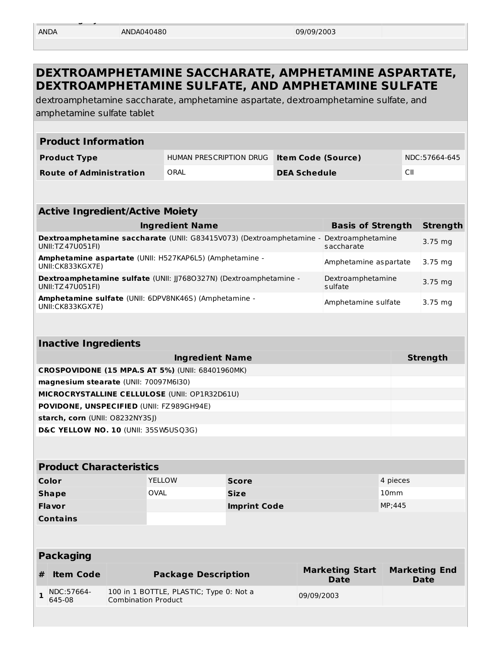**Category Citation Date Date**

dextroamphetamine saccharate, amphetamine aspartate, dextroamphetamine sulfate, and amphetamine sulfate tablet

| <b>Product Information</b>     |                         |                           |               |  |
|--------------------------------|-------------------------|---------------------------|---------------|--|
| <b>Product Type</b>            | HUMAN PRESCRIPTION DRUG | <b>Item Code (Source)</b> | NDC:57664-645 |  |
| <b>Route of Administration</b> | ORAL                    | <b>DEA Schedule</b>       | CII           |  |

| <b>Active Ingredient/Active Moiety</b>                                                   |                                 |                 |  |
|------------------------------------------------------------------------------------------|---------------------------------|-----------------|--|
| <b>Ingredient Name</b>                                                                   | <b>Basis of Strength</b>        | <b>Strength</b> |  |
| Dextroamphetamine saccharate (UNII: G83415V073) (Dextroamphetamine -<br>UNII:TZ47U051FI) | Dextroamphetamine<br>saccharate | 3.75 mg         |  |
| Amphetamine aspartate (UNII: H527KAP6L5) (Amphetamine -<br>UNII: CK833KGX7E)             | Amphetamine as partate          | 3.75 mg         |  |
| Dextroamphetamine sulfate (UNII: JJ7680327N) (Dextroamphetamine -<br>UNII:TZ47U051FI)    | Dextroamphetamine<br>sulfate    | 3.75 mg         |  |
| Amphetamine sulfate (UNII: 6DPV8NK46S) (Amphetamine -<br>UNII:CK833KGX7E)                | Amphetamine sulfate             | 3.75 mg         |  |

#### **Inactive Ingredients**

| <b>Ingredient Name</b>                               | <b>Strength</b> |
|------------------------------------------------------|-----------------|
| CROSPOVIDONE (15 MPA.S AT 5%) (UNII: 68401960MK)     |                 |
| magnesium stearate (UNII: 70097M6I30)                |                 |
| <b>MICROCRYSTALLINE CELLULOSE (UNII: OP1R32D61U)</b> |                 |
| <b>POVIDONE, UNSPECIFIED (UNII: FZ989GH94E)</b>      |                 |
| starch, corn (UNII: 08232NY3SI)                      |                 |
| D&C YELLOW NO. 10 (UNII: 35SW5USQ3G)                 |                 |

#### **Product Characteristics**

| Color           | <b>YELLOW</b> | <b>Score</b>        | 4 pieces         |
|-----------------|---------------|---------------------|------------------|
| <b>Shape</b>    | OVAL          | <b>Size</b>         | 10 <sub>mm</sub> |
| <b>Flavor</b>   |               | <b>Imprint Code</b> | MP;445           |
| <b>Contains</b> |               |                     |                  |

|   | <b>Packaging</b>     |                                                                |                                |                                     |  |  |
|---|----------------------|----------------------------------------------------------------|--------------------------------|-------------------------------------|--|--|
| # | <b>Item Code</b>     | <b>Package Description</b>                                     | <b>Marketing Start</b><br>Date | <b>Marketing End</b><br><b>Date</b> |  |  |
|   | NDC:57664-<br>645-08 | 100 in 1 BOTTLE, PLASTIC; Type 0: Not a<br>Combination Product | 09/09/2003                     |                                     |  |  |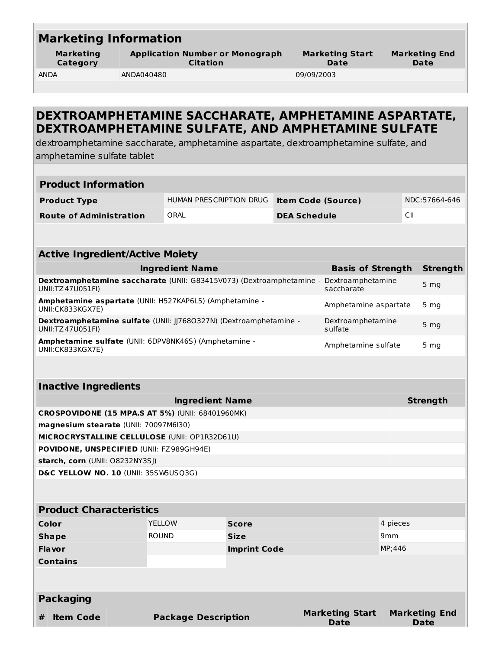# **Marketing Information**

**Marketing Category**

**Application Number or Monograph Citation**

**Marketing Start Date**

ANDA ANDA040480 09/09/2003

## **DEXTROAMPHETAMINE SACCHARATE, AMPHETAMINE ASPARTATE, DEXTROAMPHETAMINE SULFATE, AND AMPHETAMINE SULFATE**

dextroamphetamine saccharate, amphetamine aspartate, dextroamphetamine sulfate, and amphetamine sulfate tablet

## **Product Information**

| <b>Product Type</b>            | <b>HUMAN PRESCRIPTION DRUG</b> | Item Code (Source) | NDC:57664-646 |
|--------------------------------|--------------------------------|--------------------|---------------|
| <b>Route of Administration</b> | ORAL                           | DEA Schedule       | CII           |

| <b>Active Ingredient/Active Moiety</b>                                                   |                                 |                 |  |
|------------------------------------------------------------------------------------------|---------------------------------|-----------------|--|
| <b>Ingredient Name</b>                                                                   | <b>Basis of Strength</b>        | <b>Strength</b> |  |
| Dextroamphetamine saccharate (UNII: G83415V073) (Dextroamphetamine -<br>UNII:TZ47U051FI) | Dextroamphetamine<br>saccharate | 5 <sub>mg</sub> |  |
| Amphetamine aspartate (UNII: H527KAP6L5) (Amphetamine -<br>UNII: CK833KGX7E)             | Amphetamine as partate          | 5 <sub>mg</sub> |  |
| Dextroamphetamine sulfate (UNII: JJ7680327N) (Dextroamphetamine -<br>UNII:TZ47U051FI)    | Dextroamphetamine<br>sulfate    | 5 <sub>mg</sub> |  |
| Amphetamine sulfate (UNII: 6DPV8NK46S) (Amphetamine -<br>UNII: CK833KGX7E)               | Amphetamine sulfate             | 5 <sub>mg</sub> |  |

#### **Inactive Ingredients**

| <b>Ingredient Name</b>                                  | <b>Strength</b> |
|---------------------------------------------------------|-----------------|
| <b>CROSPOVIDONE (15 MPA.S AT 5%) (UNII: 68401960MK)</b> |                 |
| magnesium stearate (UNII: 70097M6I30)                   |                 |
| <b>MICROCRYSTALLINE CELLULOSE (UNII: OP1R32D61U)</b>    |                 |
| <b>POVIDONE, UNSPECIFIED (UNII: FZ989GH94E)</b>         |                 |
| starch, corn (UNII: 08232NY3SI)                         |                 |
| D&C YELLOW NO. 10 (UNII: 35SW5USQ3G)                    |                 |

| <b>Product Characteristics</b> |                            |                     |                                |                                     |  |
|--------------------------------|----------------------------|---------------------|--------------------------------|-------------------------------------|--|
| Color                          | <b>YELLOW</b>              | <b>Score</b>        |                                | 4 pieces                            |  |
| <b>Shape</b>                   | <b>ROUND</b>               | <b>Size</b>         |                                | 9 <sub>mm</sub>                     |  |
| <b>Flavor</b>                  |                            | <b>Imprint Code</b> |                                | MP;446                              |  |
| <b>Contains</b>                |                            |                     |                                |                                     |  |
|                                |                            |                     |                                |                                     |  |
| <b>Packaging</b>               |                            |                     |                                |                                     |  |
| #<br><b>Item Code</b>          | <b>Package Description</b> |                     | <b>Marketing Start</b><br>Date | <b>Marketing End</b><br><b>Date</b> |  |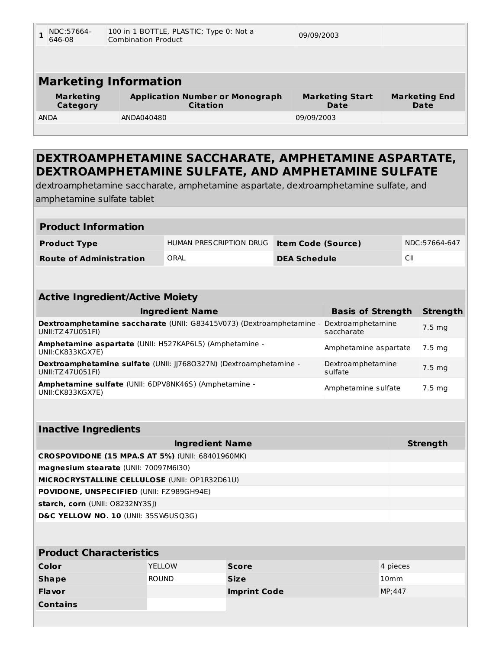| NDC:57664-<br>646-08         | 100 in 1 BOTTLE, PLASTIC; Type 0: Not a<br><b>Combination Product</b> | 09/09/2003                     |                              |
|------------------------------|-----------------------------------------------------------------------|--------------------------------|------------------------------|
|                              |                                                                       |                                |                              |
| <b>Marketing Information</b> |                                                                       |                                |                              |
| <b>Marketing</b><br>Category | <b>Application Number or Monograph</b><br><b>Citation</b>             | <b>Marketing Start</b><br>Date | <b>Marketing End</b><br>Date |
| <b>ANDA</b>                  | ANDA040480                                                            | 09/09/2003                     |                              |
|                              |                                                                       |                                |                              |

| <b>Product Information</b>     |                         |                           |               |  |
|--------------------------------|-------------------------|---------------------------|---------------|--|
| <b>Product Type</b>            | HUMAN PRESCRIPTION DRUG | <b>Item Code (Source)</b> | NDC:57664-647 |  |
| <b>Route of Administration</b> | ORAL                    | <b>DEA Schedule</b>       | СII           |  |
|                                |                         |                           |               |  |

| <b>Active Ingredient/Active Moiety</b>                                                   |                                 |                  |  |  |
|------------------------------------------------------------------------------------------|---------------------------------|------------------|--|--|
| <b>Ingredient Name</b>                                                                   | <b>Basis of Strength</b>        | <b>Strength</b>  |  |  |
| Dextroamphetamine saccharate (UNII: G83415V073) (Dextroamphetamine -<br>UNII:TZ47U051FI) | Dextroamphetamine<br>saccharate | $7.5 \text{ mg}$ |  |  |
| Amphetamine aspartate (UNII: H527KAP6L5) (Amphetamine -<br>UNII:CK833KGX7E)              | Amphetamine as partate          | $7.5 \text{ ma}$ |  |  |
| Dextroamphetamine sulfate (UNII: JJ7680327N) (Dextroamphetamine -<br>UNII:TZ47U051FI)    | Dextroamphetamine<br>sulfate    | $7.5 \text{ ma}$ |  |  |
| Amphetamine sulfate (UNII: 6DPV8NK46S) (Amphetamine -<br>UNII:CK833KGX7E)                | Amphetamine sulfate             | $7.5 \text{ ma}$ |  |  |

| <b>Inactive Ingredients</b>                             |                 |  |  |  |
|---------------------------------------------------------|-----------------|--|--|--|
| <b>Ingredient Name</b>                                  | <b>Strength</b> |  |  |  |
| <b>CROSPOVIDONE (15 MPA.S AT 5%) (UNII: 68401960MK)</b> |                 |  |  |  |
| magnesium stearate (UNII: 70097M6I30)                   |                 |  |  |  |
| MICROCRYSTALLINE CELLULOSE (UNII: OP1R32D61U)           |                 |  |  |  |
| <b>POVIDONE, UNSPECIFIED (UNII: FZ989GH94E)</b>         |                 |  |  |  |
| starch, corn (UNII: 08232NY3SI)                         |                 |  |  |  |
| D&C YELLOW NO. 10 (UNII: 35SW5USQ3G)                    |                 |  |  |  |

| <b>Product Characteristics</b> |              |                     |          |  |  |
|--------------------------------|--------------|---------------------|----------|--|--|
| Color                          | YELLOW       | <b>Score</b>        | 4 pieces |  |  |
| <b>Shape</b>                   | <b>ROUND</b> | <b>Size</b>         | 10mm     |  |  |
| <b>Flavor</b>                  |              | <b>Imprint Code</b> | MP:447   |  |  |
| <b>Contains</b>                |              |                     |          |  |  |